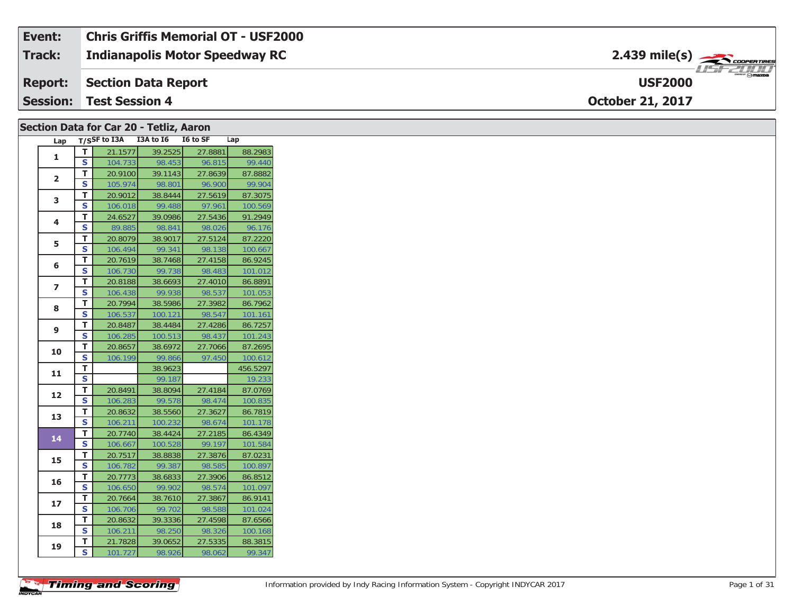| Event:          | <b>Chris Griffis Memorial OT - USF2000</b> |                                          |
|-----------------|--------------------------------------------|------------------------------------------|
| <b>Track:</b>   | <b>Indianapolis Motor Speedway RC</b>      | $2.439$ mile(s) $\rightarrow$ coorganges |
| <b>Report:</b>  | Section Data Report                        | <b>USF2000</b>                           |
| <b>Session:</b> | Test Session 4                             | <b>October 21, 2017</b>                  |

#### **Section Data for Car 20 - Tetliz, Aaron**

| Lap            |                         | T/SSF to I3A | I3A to I6 | I6 to SF | Lap      |
|----------------|-------------------------|--------------|-----------|----------|----------|
| 1              | т                       | 21.1577      | 39.2525   | 27.8881  | 88.2983  |
|                | S                       | 104.733      | 98.453    | 96.815   | 99.440   |
| $\overline{2}$ | T.                      | 20.9100      | 39.1143   | 27.8639  | 87.8882  |
|                | S                       | 105.974      | 98.801    | 96.900   | 99.904   |
| 3              | T                       | 20.9012      | 38.8444   | 27.5619  | 87.3075  |
|                | S                       | 106.018      | 99.488    | 97.961   | 100.569  |
| 4              | т                       | 24.6527      | 39.0986   | 27.5436  | 91.2949  |
|                | S                       | 89.885       | 98.841    | 98.026   | 96.176   |
| 5              | T                       | 20.8079      | 38.9017   | 27.5124  | 87.2220  |
|                | S                       | 106.494      | 99.341    | 98.138   | 100.667  |
| 6              | T                       | 20.7619      | 38.7468   | 27.4158  | 86.9245  |
|                | Ś                       | 106.730      | 99.738    | 98.483   | 101.012  |
| 7              | т                       | 20.8188      | 38.6693   | 27.4010  | 86.8891  |
|                | S                       | 106.438      | 99.938    | 98.537   | 101.053  |
| 8              | T                       | 20.7994      | 38.5986   | 27.3982  | 86.7962  |
|                | $\overline{\mathbf{s}}$ | 106.537      | 100.121   | 98.547   | 101.161  |
| 9              | T                       | 20.8487      | 38.4484   | 27.4286  | 86.7257  |
|                | S                       | 106.285      | 100.513   | 98.437   | 101.243  |
| 10             | T                       | 20.8657      | 38.6972   | 27.7066  | 87.2695  |
|                | S                       | 106.199      | 99.866    | 97.450   | 100.612  |
| 11             | T                       |              | 38.9623   |          | 456.5297 |
|                | S                       |              | 99.187    |          | 19.233   |
| 12             | T                       | 20.8491      | 38.8094   | 27.4184  | 87.0769  |
|                | S                       | 106.283      | 99.578    | 98.474   | 100.835  |
| 13             | T                       | 20.8632      | 38.5560   | 27.3627  | 86.7819  |
|                | S                       | 106.211      | 100.232   | 98.674   | 101.178  |
| 14             | T                       | 20.7740      | 38.4424   | 27.2185  | 86.4349  |
|                | S                       | 106.667      | 100.528   | 99.197   | 101.584  |
| 15             | T                       | 20.7517      | 38.8838   | 27.3876  | 87.0231  |
|                | S                       | 106.782      | 99.387    | 98.585   | 100.897  |
| 16             | T                       | 20.7773      | 38.6833   | 27.3906  | 86.8512  |
|                | S                       | 106.650      | 99.902    | 98.574   | 101.097  |
| 17             | т                       | 20.7664      | 38.7610   | 27.3867  | 86.9141  |
|                | $\overline{\mathbf{s}}$ | 106.706      | 99.702    | 98.588   | 101.024  |
| 18             | T                       | 20.8632      | 39.3336   | 27.4598  | 87.6566  |
|                | S                       | 106.211      | 98.250    | 98.326   | 100.168  |
| 19             | Т                       | 21.7828      | 39.0652   | 27.5335  | 88.3815  |
|                | S                       | 101.727      | 98.926    | 98.062   | 99.347   |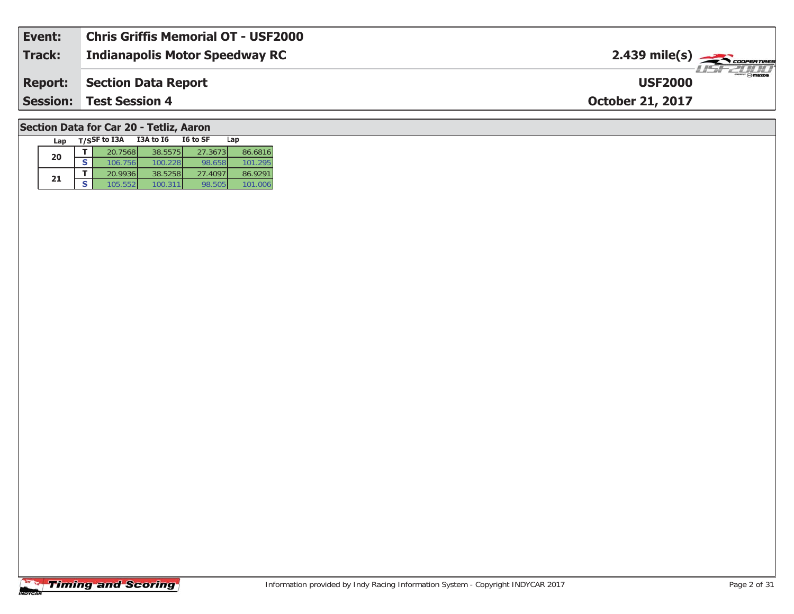| Event:         | <b>Chris Griffis Memorial OT - USF2000</b> |                                           |
|----------------|--------------------------------------------|-------------------------------------------|
| Track:         | <b>Indianapolis Motor Speedway RC</b>      | $2.439$ mile(s) $\rightarrow$ COOPERTIRES |
| <b>Report:</b> | Section Data Report                        | LISF 2000<br><b>USF2000</b>               |
|                | <b>Session: Test Session 4</b>             | <b>October 21, 2017</b>                   |
|                |                                            |                                           |

### **Section Data for Car 20 - Tetliz, Aaron**

| Lap |   | T/SSF to I3A | <b>I3A to 16</b> | I6 to SF | Lap     |
|-----|---|--------------|------------------|----------|---------|
| 20  |   | 20.7568      | 38.5575          | 27.3673  | 86.6816 |
|     | S | 106.756      | 100.228          | 98.658   | 101.295 |
| 21  |   | 20.9936      | 38.5258          | 27.4097  | 86.9291 |
|     |   | 105.552      |                  | 98.505   |         |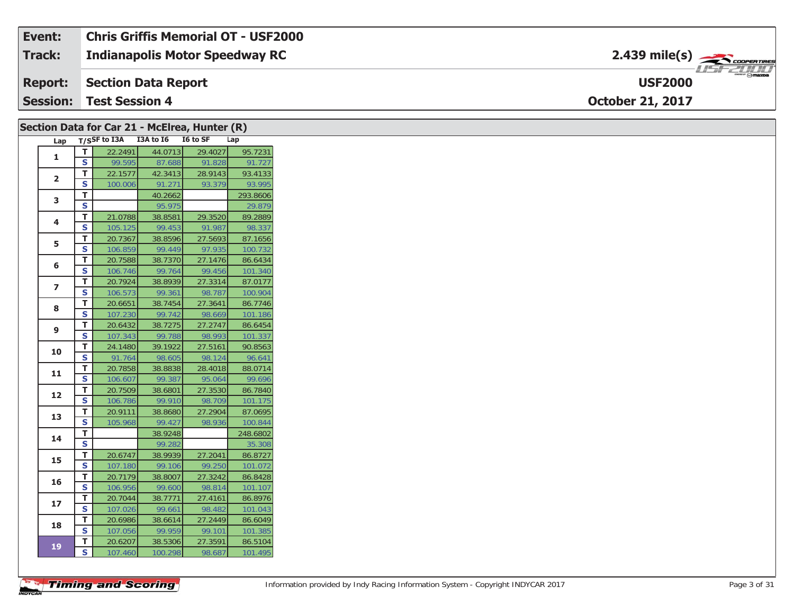| Event: | Chris Griffis Memorial OT - USF2000   |                                                                                                                                                                                                                                                                                                                                                                                                                                                                                                   |
|--------|---------------------------------------|---------------------------------------------------------------------------------------------------------------------------------------------------------------------------------------------------------------------------------------------------------------------------------------------------------------------------------------------------------------------------------------------------------------------------------------------------------------------------------------------------|
| Track: | <b>Indianapolis Motor Speedway RC</b> | $2.439$ mile(s) $\frac{1}{2.566}$ coorentment                                                                                                                                                                                                                                                                                                                                                                                                                                                     |
|        | <b>Report:</b> Section Data Report    | $\overline{\phantom{a}}$ $\overline{\phantom{a}}$ $\overline{\phantom{a}}$ $\overline{\phantom{a}}$ $\overline{\phantom{a}}$ $\overline{\phantom{a}}$ $\overline{\phantom{a}}$ $\overline{\phantom{a}}$ $\overline{\phantom{a}}$ $\overline{\phantom{a}}$ $\overline{\phantom{a}}$ $\overline{\phantom{a}}$ $\overline{\phantom{a}}$ $\overline{\phantom{a}}$ $\overline{\phantom{a}}$ $\overline{\phantom{a}}$ $\overline{\phantom{a}}$ $\overline{\phantom{a}}$ $\overline{\$<br><b>USF2000</b> |
|        | <b>Session: Test Session 4</b>        | <b>October 21, 2017</b>                                                                                                                                                                                                                                                                                                                                                                                                                                                                           |

|                         |                               |                    | Section Data for Car 21 - McElrea, Hunter (R) |         |                    |
|-------------------------|-------------------------------|--------------------|-----------------------------------------------|---------|--------------------|
|                         |                               |                    | Lap T/SSF to I3A I3A to I6 I6 to SF           |         | Lap                |
| 1                       | $\mathbf T$                   | 22.2491            | 44.0713                                       | 29.4027 | 95.7231            |
|                         | S                             | 99.595             | 87.688                                        | 91.828  | 91.727             |
| $\overline{2}$          | T.                            | 22.1577            | 42.3413                                       | 28.9143 | 93.4133            |
|                         | S                             | 100.006            | 91.271                                        | 93.379  | 93.995             |
| 3                       | T                             |                    | 40.2662                                       |         | 293.8606           |
|                         | $\mathbf s$                   |                    | 95.975                                        |         | 29.879             |
| 4                       | T                             | 21.0788            | 38.8581                                       | 29.3520 | 89.2889            |
|                         | S                             | 105.125            | 99.453                                        | 91.987  | 98.337             |
| 5                       | T                             | 20.7367            | 38.8596                                       | 27.5693 | 87.1656            |
|                         | S                             | 106.859            | 99.449                                        | 97.935  | 100.732            |
| 6                       | T                             | 20.7588            | 38.7370                                       | 27.1476 | 86.6434            |
|                         | S                             | 106.746            | 99.764                                        | 99.456  | 101.340            |
| $\overline{\mathbf{z}}$ | T                             | 20.7924            | 38.8939                                       | 27.3314 | 87.0177            |
|                         | S                             | 106.573            | 99.361                                        | 98.787  | 100.904            |
| 8                       | T                             | 20.6651            | 38.7454                                       | 27.3641 | 86.7746            |
|                         | S                             | 107.230            | 99.742                                        | 98.669  | 101.186            |
| 9                       | Т                             | 20.6432            | 38.7275                                       | 27.2747 | 86.6454            |
|                         | S                             | 107.343            | 99.788                                        | 98.993  | 101.337            |
| 10                      | T                             | 24.1480            | 39.1922                                       | 27.5161 | 90.8563            |
|                         | S                             | 91.764             | 98.605                                        | 98.124  | 96.641             |
| 11                      | T.                            | 20.7858            | 38.8838                                       | 28.4018 | 88.0714            |
|                         | S                             | 106.607            | 99.387                                        | 95.064  | 99.696             |
| 12                      | T                             | 20.7509            | 38.6801                                       | 27.3530 | 86.7840            |
|                         | S                             | 106.786            | 99.910                                        | 98.709  | 101.175            |
| 13                      | T                             | 20.9111            | 38.8680                                       | 27.2904 | 87.0695            |
|                         | S                             | 105.968            | 99.427                                        | 98.936  | 100.844            |
| 14                      | T.<br>$\overline{\mathbf{s}}$ |                    | 38.9248<br>99.282                             |         | 248.6802<br>35.308 |
|                         | T.                            |                    | 38.9939                                       | 27.2041 |                    |
| 15                      | S                             | 20.6747<br>107.180 | 99.106                                        | 99.250  | 86.8727<br>101.072 |
|                         | T.                            | 20.7179            | 38.8007                                       | 27.3242 | 86.8428            |
| 16                      | S                             | 106.956            | 99.600                                        | 98.814  | 101.107            |
|                         | T.                            | 20.7044            | 38.7771                                       | 27.4161 | 86.8976            |
| 17                      | $\overline{\mathbf{s}}$       | 107.026            | 99.661                                        | 98.482  | 101.043            |
|                         | T.                            | 20.6986            | 38.6614                                       | 27.2449 | 86.6049            |
| 18                      | S                             | 107.056            | 99.959                                        | 99.101  | 101.385            |
|                         | T                             | 20.6207            | 38.5306                                       | 27.3591 | 86.5104            |
| 19                      | S                             | 107.460            | 100.298                                       | 98.687  | 101.495            |
|                         |                               |                    |                                               |         |                    |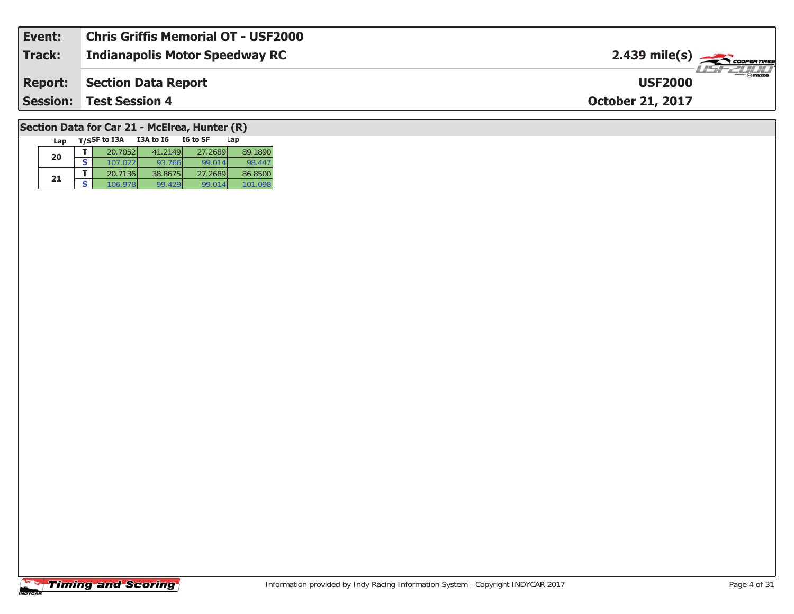| Event: | <b>Chris Griffis Memorial OT - USF2000</b> |                                           |
|--------|--------------------------------------------|-------------------------------------------|
| Track: | <b>Indianapolis Motor Speedway RC</b>      | $2.439$ mile(s) $\rightarrow$             |
|        | <b>Report:</b> Section Data Report         | $\frac{2\pi}{2}$ omazoa<br><b>USF2000</b> |
|        | <b>Session: Test Session 4</b>             | <b>October 21, 2017</b>                   |
|        |                                            |                                           |

### **Section Data for Car 21 - McElrea, Hunter (R)**

| Lap | T/SSF to I3A | <b>I3A to 16</b> | I6 to SF | Lap     |
|-----|--------------|------------------|----------|---------|
| 20  | 20.7052      | 41.2149          | 27.2689  | 89.1890 |
|     | 107.022      | 93.766           | 99.014   | 98.447  |
| 21  | 20.7136      | 38.8675          | 27.2689  | 86.8500 |
|     | 106.978      | 99.429           | 99.014   |         |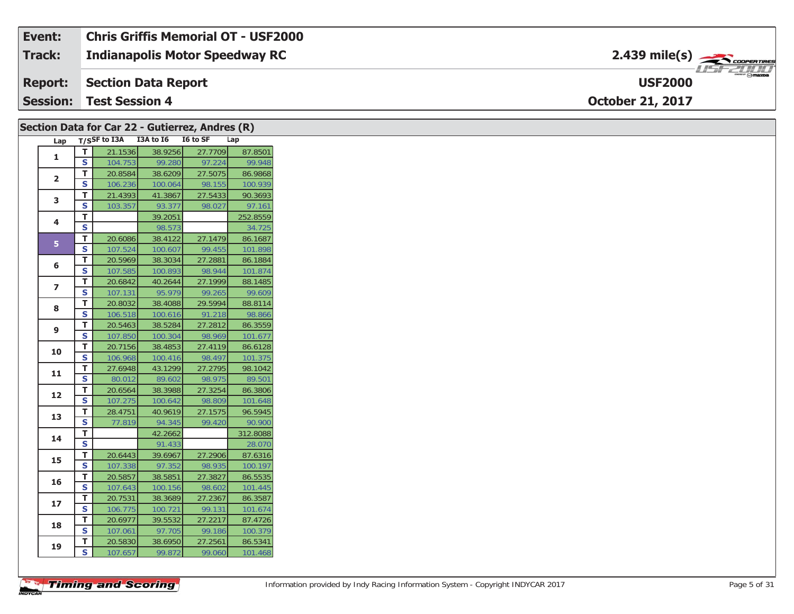| Event:        | <b>Chris Griffis Memorial OT - USF2000</b> |                                     |
|---------------|--------------------------------------------|-------------------------------------|
| <b>Track:</b> | <b>Indianapolis Motor Speedway RC</b>      |                                     |
|               | <b>Report: Section Data Report</b>         | $m = \odot$ mazpa<br><b>USF2000</b> |
|               | <b>Session: Test Session 4</b>             | <b>October 21, 2017</b>             |

|                         |             | Section Data for Car 22 - Gutierrez, Andres (R) |         |         |          |  |  |  |  |
|-------------------------|-------------|-------------------------------------------------|---------|---------|----------|--|--|--|--|
|                         |             | Lap T/SSF to I3A I3A to I6 I6 to SF             |         |         | Lap      |  |  |  |  |
|                         | T.          | 21.1536                                         | 38.9256 | 27.7709 | 87.8501  |  |  |  |  |
| 1                       | S           | 104.753                                         | 99.280  | 97.224  | 99.948   |  |  |  |  |
| $\overline{2}$          | т           | 20.8584                                         | 38.6209 | 27.5075 | 86.9868  |  |  |  |  |
|                         | S           | 106.236                                         | 100.064 | 98.155  | 100.939  |  |  |  |  |
| 3                       | T.          | 21.4393                                         | 41.3867 | 27.5433 | 90.3693  |  |  |  |  |
|                         | S           | 103.357                                         | 93.377  | 98.027  | 97.161   |  |  |  |  |
| 4                       | T.          |                                                 | 39.2051 |         | 252.8559 |  |  |  |  |
|                         | S           |                                                 | 98.573  |         | 34.725   |  |  |  |  |
| 5 <sup>1</sup>          | T.          | 20.6086                                         | 38.4122 | 27.1479 | 86.1687  |  |  |  |  |
|                         | S           | 107.524                                         | 100.607 | 99.455  | 101.898  |  |  |  |  |
| 6                       | T.          | 20.5969                                         | 38.3034 | 27.2881 | 86.1884  |  |  |  |  |
|                         | S           | 107.585                                         | 100.893 | 98.944  | 101.874  |  |  |  |  |
| $\overline{\mathbf{z}}$ | т           | 20.6842                                         | 40.2644 | 27.1999 | 88.1485  |  |  |  |  |
|                         | S           | 107.131                                         | 95.979  | 99.265  | 99.609   |  |  |  |  |
| 8                       | T.          | 20.8032                                         | 38.4088 | 29.5994 | 88.8114  |  |  |  |  |
|                         | $\mathbf s$ | 106.518                                         | 100.616 | 91.218  | 98.866   |  |  |  |  |
| 9                       | T.          | 20.5463                                         | 38.5284 | 27.2812 | 86.3559  |  |  |  |  |
|                         | S           | 107.850                                         | 100.304 | 98.969  | 101.677  |  |  |  |  |
| 10                      | T.          | 20.7156                                         | 38.4853 | 27.4119 | 86.6128  |  |  |  |  |
|                         | S           | 106.968                                         | 100.416 | 98.497  | 101.375  |  |  |  |  |
| 11                      | T.          | 27.6948                                         | 43.1299 | 27.2795 | 98.1042  |  |  |  |  |
|                         | S           | 80.012                                          | 89.602  | 98.975  | 89.501   |  |  |  |  |
| 12                      | T.          | 20.6564                                         | 38.3988 | 27.3254 | 86.3806  |  |  |  |  |
|                         | S           | 107.275                                         | 100.642 | 98.809  | 101.648  |  |  |  |  |
| 13                      | Τ.          | 28.4751                                         | 40.9619 | 27.1575 | 96.5945  |  |  |  |  |
|                         | S           | 77.819                                          | 94.345  | 99.420  | 90.900   |  |  |  |  |
| 14                      | т           |                                                 | 42.2662 |         | 312.8088 |  |  |  |  |
|                         | S           |                                                 | 91.433  |         | 28.070   |  |  |  |  |
| 15                      | T.          | 20.6443                                         | 39.6967 | 27.2906 | 87.6316  |  |  |  |  |
|                         | S           | 107.338                                         | 97.352  | 98.935  | 100.197  |  |  |  |  |
| 16                      | T.          | 20.5857                                         | 38.5851 | 27.3827 | 86.5535  |  |  |  |  |
|                         | S           | 107.643                                         | 100.156 | 98.602  | 101.445  |  |  |  |  |
| 17                      | T.          | 20.7531                                         | 38.3689 | 27.2367 | 86.3587  |  |  |  |  |
|                         | S           | 106.775                                         | 100.721 | 99.131  | 101.674  |  |  |  |  |
| 18                      | T.          | 20.6977                                         | 39.5532 | 27.2217 | 87.4726  |  |  |  |  |
|                         | S           | 107.061                                         | 97.705  | 99.186  | 100.379  |  |  |  |  |
| 19                      | T.          | 20.5830                                         | 38.6950 | 27.2561 | 86.5341  |  |  |  |  |
|                         | S           | 107.657                                         | 99.872  | 99.060  | 101.468  |  |  |  |  |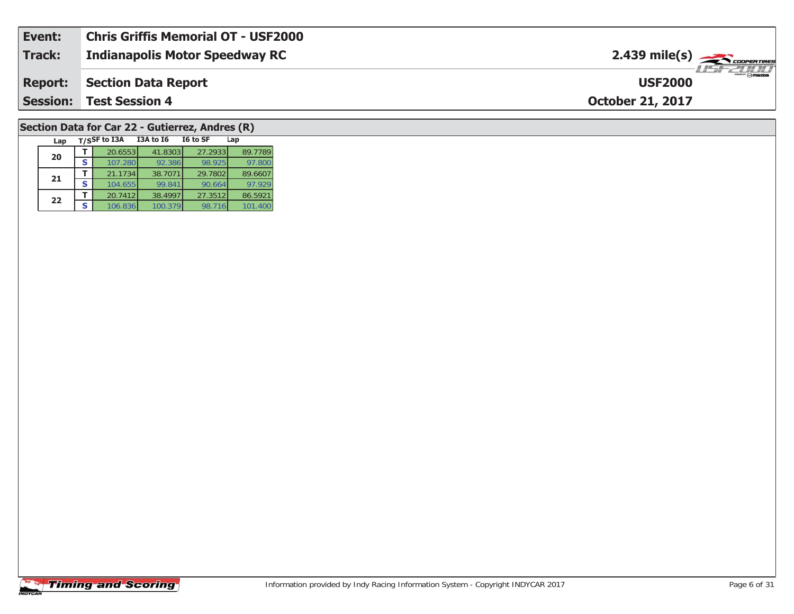| Event:          | <b>Chris Griffis Memorial OT - USF2000</b> |                                                                   |
|-----------------|--------------------------------------------|-------------------------------------------------------------------|
| Track:          | <b>Indianapolis Motor Speedway RC</b>      | $2.439$ mile(s) $\frac{1}{\sqrt{2.600 \text{ cm} \cdot \text{m}}$ |
| <b>Report:</b>  | Section Data Report                        | <b>Omazna</b><br><b>USF2000</b>                                   |
| <b>Session:</b> | <b>Test Session 4</b>                      | <b>October 21, 2017</b>                                           |
|                 |                                            |                                                                   |

#### **Section Data for Car 22 - Gutierrez, Andres (R)**

| Lap |   | T/SSF to I3A | <b>I3A to 16</b> | I6 to SF | Lap     |
|-----|---|--------------|------------------|----------|---------|
| 20  |   | 20.6553      | 41.8303          | 27.2933  | 89.7789 |
|     |   | 107.280      | 92.386           | 98.925   | 97.800  |
| 21  |   | 21.1734      | 38.7071          | 29.7802  | 89.6607 |
|     | S | 104.655      | 99.841           | 90.664   | 97.929  |
| 22  |   | 20.7412      | 38.4997          | 27.3512  | 86.5921 |
|     | S | 106.836      | 100.379          | 98.716   | 101.400 |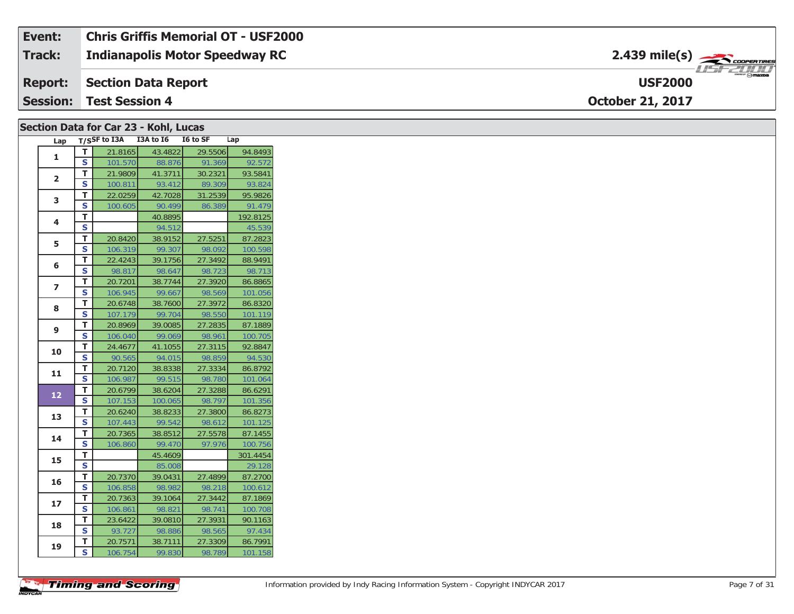| Event:          | <b>Chris Griffis Memorial OT - USF2000</b> |                              |
|-----------------|--------------------------------------------|------------------------------|
| Track:          | <b>Indianapolis Motor Speedway RC</b>      |                              |
|                 | <b>Report: Section Data Report</b>         | $\epsilon$<br><b>USF2000</b> |
| <b>Session:</b> | <b>Test Session 4</b>                      | <b>October 21, 2017</b>      |

#### **Section Data for Car 23 - Kohl, Lucas**

| Lap            |                         | T/SSF to I3A | I3A to I6 | I6 to SF | Lap      |
|----------------|-------------------------|--------------|-----------|----------|----------|
| 1              | T.                      | 21.8165      | 43.4822   | 29.5506  | 94.8493  |
|                | S                       | 101.570      | 88.876    | 91.369   | 92.572   |
| $\overline{2}$ | T.                      | 21.9809      | 41.3711   | 30.2321  | 93.5841  |
|                | S                       | 100.811      | 93.412    | 89.309   | 93.824   |
| 3              | T.                      | 22.0259      | 42.7028   | 31.2539  | 95.9826  |
|                | S                       | 100.605      | 90.499    | 86.389   | 91.479   |
| 4              | т                       |              | 40.8895   |          | 192.8125 |
|                | S                       |              | 94.512    |          | 45.539   |
| 5              | T.                      | 20.8420      | 38.9152   | 27.5251  | 87.2823  |
|                | S                       | 106.319      | 99.307    | 98.092   | 100.598  |
| 6              | T                       | 22.4243      | 39.1756   | 27.3492  | 88.9491  |
|                | S                       | 98.817       | 98.647    | 98.723   | 98.713   |
| $\overline{ }$ | T                       | 20.7201      | 38.7744   | 27.3920  | 86.8865  |
|                | S                       | 106.945      | 99.667    | 98.569   | 101.056  |
| 8              | T.                      | 20.6748      | 38.7600   | 27.3972  | 86.8320  |
|                | S                       | 107.179      | 99.704    | 98.550   | 101.119  |
| 9              | T                       | 20.8969      | 39.0085   | 27.2835  | 87.1889  |
|                | S                       | 106.040      | 99.069    | 98.961   | 100.705  |
| 10             | T.                      | 24.4677      | 41.1055   | 27.3115  | 92.8847  |
|                | S                       | 90.565       | 94.015    | 98.859   | 94.530   |
| 11             | T                       | 20.7120      | 38.8338   | 27.3334  | 86.8792  |
|                | $\overline{\mathbf{s}}$ | 106.987      | 99.515    | 98.780   | 101.064  |
| 12             | T                       | 20.6799      | 38.6204   | 27.3288  | 86.6291  |
|                | S                       | 107.153      | 100.065   | 98.797   | 101.356  |
| 13             | T.                      | 20.6240      | 38.8233   | 27.3800  | 86.8273  |
|                | S                       | 107.443      | 99.542    | 98.612   | 101.125  |
| 14             | т                       | 20.7365      | 38.8512   | 27.5578  | 87.1455  |
|                | $\overline{\mathbf{s}}$ | 106.860      | 99.470    | 97.976   | 100.756  |
| 15             | T.                      |              | 45.4609   |          | 301.4454 |
|                | S                       |              | 85.008    |          | 29.128   |
| 16             | T                       | 20.7370      | 39.0431   | 27.4899  | 87.2700  |
|                | $\overline{\mathbf{s}}$ | 106.858      | 98.982    | 98.218   | 100.612  |
| 17             | T                       | 20.7363      | 39.1064   | 27.3442  | 87.1869  |
|                | S                       | 106.861      | 98.821    | 98.741   | 100.708  |
| 18             | т                       | 23.6422      | 39.0810   | 27.3931  | 90.1163  |
|                | $\overline{\mathbf{s}}$ | 93.727       | 98.886    | 98.565   | 97.434   |
| 19             | T                       | 20.7571      | 38.7111   | 27.3309  | 86.7991  |
|                | $\overline{\mathsf{s}}$ | 106.754      | 99.830    | 98.789   | 101.158  |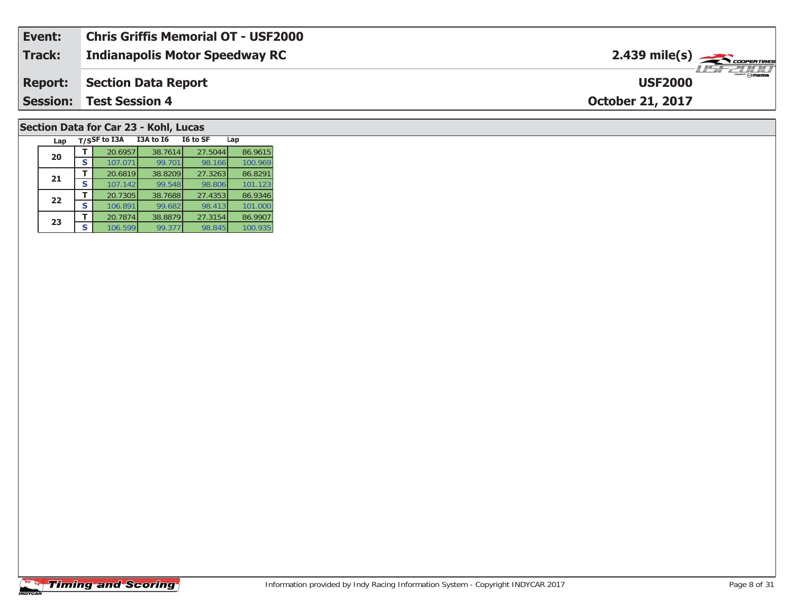| Event: | <b>Chris Griffis Memorial OT - USF2000</b> |                                               |
|--------|--------------------------------------------|-----------------------------------------------|
| Track: | Indianapolis Motor Speedway RC             | $2.439$ mile(s) $\frac{1}{2.48}$ coorer Times |
|        | <b>Report: Section Data Report</b>         | <b>USF2000</b>                                |
|        | <b>Session: Test Session 4</b>             | <b>October 21, 2017</b>                       |
|        |                                            |                                               |

#### **Section Data for Car 23 - Kohl, Lucas**

| Lap |   | T/SSF to I3A | <b>I3A to 16</b> | I6 to SF | Lap     |
|-----|---|--------------|------------------|----------|---------|
| 20  |   | 20.6957      | 38.7614          | 27.5044  | 86.9615 |
|     | S | 107.071      | 99.701           | 98.166   | 100.969 |
| 21  |   | 20.6819      | 38.8209          | 27.3263  | 86.8291 |
|     | S | 107.142      | 99.548           | 98.806   | 101.123 |
| 22  |   | 20.7305      | 38.7688          | 27.4353  | 86.9346 |
|     | S | 106.891      | 99.682           | 98.413   | 101.000 |
| 23  |   | 20.7874      | 38.8879          | 27.3154  | 86.9907 |
|     | S | 106.599      | 99.377           | 98.845   | 100.935 |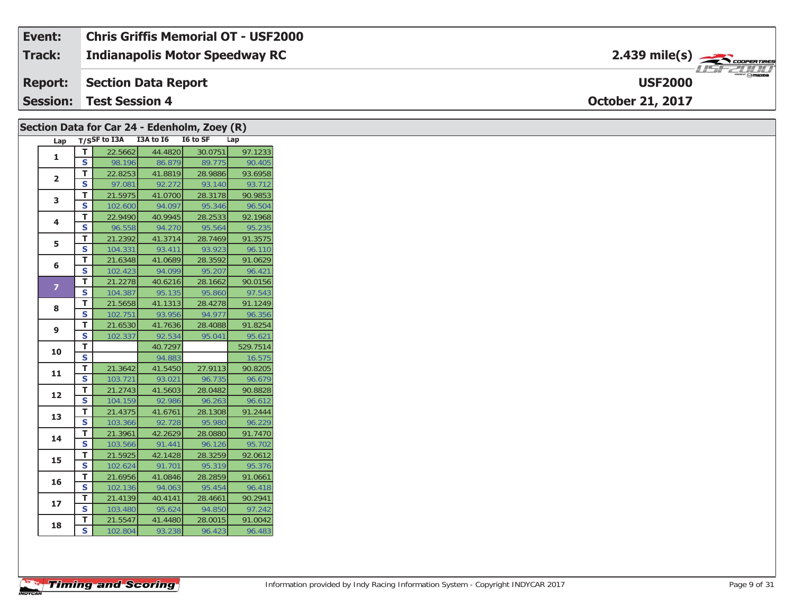| Event:          | <b>Chris Griffis Memorial OT - USF2000</b> |                                  |
|-----------------|--------------------------------------------|----------------------------------|
| <b>Track:</b>   | <b>Indianapolis Motor Speedway RC</b>      |                                  |
| <b>Report:</b>  | Section Data Report                        | <b>Symazoa</b><br><b>USF2000</b> |
| <b>Session:</b> | <b>Test Session 4</b>                      | <b>October 21, 2017</b>          |

|                | Section Data for Car 24 - Edenholm, Zoey (R) |                               |                    |                                     |                   |                   |  |  |  |
|----------------|----------------------------------------------|-------------------------------|--------------------|-------------------------------------|-------------------|-------------------|--|--|--|
|                |                                              |                               |                    | Lap T/SSF to I3A I3A to I6 I6 to SF |                   | Lap               |  |  |  |
|                |                                              | T.                            | 22.5662            | 44.4820                             | 30.0751           | 97.1233           |  |  |  |
| 1              |                                              | S                             | 98.196             | 86.879                              | 89.775            | 90.405            |  |  |  |
| $\mathbf{2}$   |                                              | T.                            | 22.8253            | 41.8819                             | 28.9886           | 93.6958           |  |  |  |
|                |                                              | S                             | 97.081             | 92.272                              | 93.140            | 93.712            |  |  |  |
| 3              |                                              | T.                            | 21.5975            | 41.0700                             | 28.3178           | 90.9853           |  |  |  |
|                |                                              | S                             | 102.600            | 94.097                              | 95.346            | 96.504            |  |  |  |
| 4              |                                              | T.                            | 22.9490            | 40.9945                             | 28.2533           | 92.1968           |  |  |  |
|                |                                              | S                             | 96.558             | 94.270                              | 95.564            | 95.235            |  |  |  |
| 5              |                                              | T.                            | 21.2392            | 41.3714                             | 28.7469           | 91.3575           |  |  |  |
|                |                                              | S                             | 104.331            | 93.411                              | 93.923            | 96.110            |  |  |  |
| 6              |                                              | T.                            | 21.6348            | 41.0689                             | 28.3592           | 91.0629           |  |  |  |
|                |                                              | $\mathbf s$                   | 102.423            | 94.099                              | 95.207            | 96.421            |  |  |  |
| $\overline{z}$ |                                              | T.                            | 21.2278            | 40.6216                             | 28.1662           | 90.0156           |  |  |  |
|                |                                              | S                             | 104.387            | 95.135                              | 95.860            | 97.543            |  |  |  |
| 8              |                                              | T.                            | 21.5658            | 41.1313                             | 28.4278           | 91.1249           |  |  |  |
|                |                                              | S                             | 102.751            | 93.956                              | 94.977            | 96.356            |  |  |  |
| 9              |                                              | T.                            | 21.6530            | 41.7636                             | 28.4088           | 91.8254           |  |  |  |
|                |                                              | S                             | 102.337            | 92.534                              | 95.041            | 95.621            |  |  |  |
| 10             |                                              | T.                            |                    | 40.7297                             |                   | 529.7514          |  |  |  |
|                |                                              | $\mathbf s$                   |                    | 94.883                              |                   | 16.575            |  |  |  |
| 11             |                                              | T.                            | 21.3642            | 41.5450                             | 27.9113           | 90.8205           |  |  |  |
|                |                                              | S                             | 103.721            | 93.021                              | 96.735            | 96.679            |  |  |  |
| 12             |                                              | T.<br>$\overline{\mathbf{s}}$ | 21.2743            | 41.5603                             | 28.0482           | 90.8828           |  |  |  |
|                |                                              | T.                            | 104.159            | 92.986                              | 96.263<br>28.1308 | 96.612            |  |  |  |
| 13             |                                              | S                             | 21.4375<br>103.366 | 41.6761<br>92.728                   | 95.980            | 91.2444<br>96.229 |  |  |  |
|                |                                              | T.                            | 21.3961            | 42.2629                             | 28.0880           | 91.7470           |  |  |  |
| 14             |                                              | S                             | 103.566            | 91.441                              | 96.126            | 95.702            |  |  |  |
|                |                                              | T.                            | 21.5925            | 42.1428                             | 28.3259           | 92.0612           |  |  |  |
| 15             |                                              | S                             | 102.624            | 91.701                              | 95.319            | 95.376            |  |  |  |
|                |                                              | T.                            | 21.6956            | 41.0846                             | 28.2859           | 91.0661           |  |  |  |
| 16             |                                              | S                             | 102.136            | 94.063                              | 95.454            | 96.418            |  |  |  |
|                |                                              | T.                            | 21.4139            | 40.4141                             | 28.4661           | 90.2941           |  |  |  |
| 17             |                                              | S                             | 103.480            | 95.624                              | 94.850            | 97.242            |  |  |  |
|                |                                              | T.                            | 21.5547            | 41.4480                             | 28.0015           | 91.0042           |  |  |  |
| 18             |                                              | S                             | 102.804            | 93.238                              | 96.423            | 96.483            |  |  |  |
|                |                                              |                               |                    |                                     |                   |                   |  |  |  |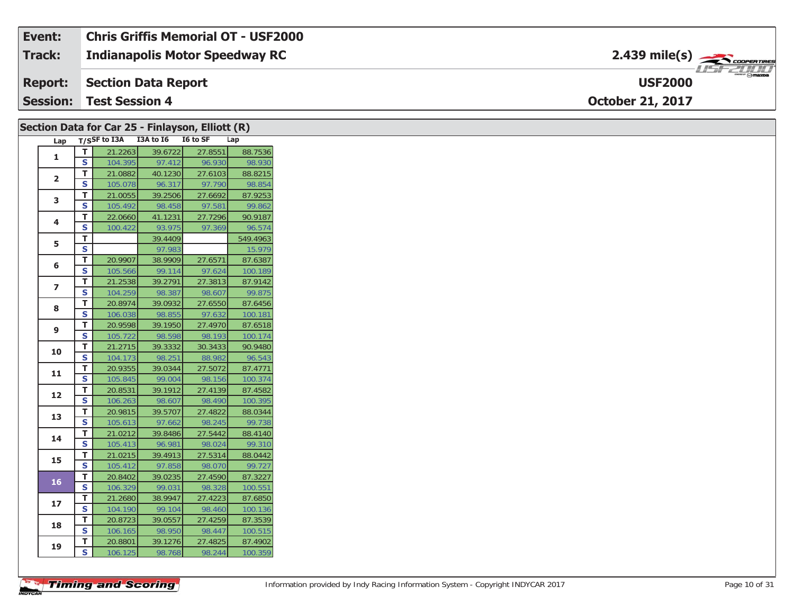| Event:          | <b>Chris Griffis Memorial OT - USF2000</b> |                                                  |
|-----------------|--------------------------------------------|--------------------------------------------------|
| <b>Track:</b>   | Indianapolis Motor Speedway RC             | $2.439$ mile(s) $\rightarrow$ COOPERTIRES        |
|                 | <b>Report: Section Data Report</b>         | $m_{\text{max}}$ $\odot$ mazna<br><b>USF2000</b> |
| <b>Session:</b> | <b>Test Session 4</b>                      | <b>October 21, 2017</b>                          |

|                |                         | Section Data for Car 25 - Finlayson, Elliott (R) |                   |                   |                    |
|----------------|-------------------------|--------------------------------------------------|-------------------|-------------------|--------------------|
| Lap            |                         | T/SSF to I3A I3A to I6 I6 to SF                  |                   |                   | Lap                |
| $\mathbf{1}$   | $\mathsf T$             | 21.2263                                          | 39.6722           | 27.8551           | 88.7536            |
|                | S                       | 104.395                                          | 97.412            | 96.930            | 98.930             |
| $\overline{2}$ | T                       | 21.0882                                          | 40.1230           | 27.6103           | 88.8215            |
|                | <b>S</b>                | 105.078                                          | 96.317            | 97.790            | 98.854             |
| 3              | T                       | 21.0055                                          | 39.2506           | 27.6692           | 87.9253            |
|                | S                       | 105.492                                          | 98.458            | 97.581            | 99.862             |
| 4              | Т                       | 22.0660                                          | 41.1231           | 27.7296           | 90.9187            |
|                | S                       | 100.422                                          | 93.975            | 97.369            | 96.574             |
| 5              | T                       |                                                  | 39.4409           |                   | 549.4963           |
|                | $\overline{\mathbf{s}}$ |                                                  | 97.983            |                   | 15.979             |
| 6              | T.                      | 20.9907                                          | 38.9909           | 27.6571           | 87.6387            |
|                | S                       | 105.566                                          | 99.114            | 97.624            | 100.189            |
| $\overline{ }$ | T                       | 21.2538                                          | 39.2791           | 27.3813           | 87.9142            |
|                | S                       | 104.259                                          | 98.387            | 98.607            | 99.875             |
| 8              | $\mathbf{T}$            | 20.8974                                          | 39.0932           | 27.6550           | 87.6456            |
|                | S                       | 106.038                                          | 98.855            | 97.632            | 100.181            |
| 9              | T                       | 20.9598                                          | 39.1950           | 27.4970           | 87.6518            |
|                | S                       | 105.722                                          | 98.598            | 98.193            | 100.174            |
| 10             | T.                      | 21.2715                                          | 39.3332           | 30.3433           | 90.9480            |
|                | $\overline{\mathbf{s}}$ | 104.173                                          | 98.251            | 88.982            | 96.543             |
| 11             | T                       | 20.9355                                          | 39.0344           | 27.5072           | 87.4771            |
|                | S                       | 105.845                                          | 99.004            | 98.156            | 100.374            |
| 12             | $\mathbf T$             | 20.8531                                          | 39.1912           | 27.4139           | 87.4582            |
|                | S                       | 106.263                                          | 98.607            | 98.490            | 100.395            |
| 13             | T                       | 20.9815                                          | 39.5707           | 27.4822           | 88.0344            |
|                | S                       | 105.613                                          | 97.662            | 98.245            | 99.738             |
| 14             | T                       | 21.0212                                          | 39.8486           | 27.5442           | 88.4140            |
|                | S                       | 105.413                                          | 96.981            | 98.024            | 99.310             |
| 15             | T                       | 21.0215                                          | 39.4913           | 27.5314           | 88.0442<br>99.727  |
|                | S                       | 105.412                                          | 97.858            | 98.070            |                    |
| <b>16</b>      | $\mathbf{T}$<br>S       | 20.8402                                          | 39.0235           | 27.4590           | 87.3227            |
|                | T.                      | 106.329<br>21.2680                               | 99.031<br>38.9947 | 98.328<br>27.4223 | 100.551<br>87.6850 |
| 17             | S                       | 104.190                                          | 99.104            | 98.460            | 100.136            |
|                | T                       | 20.8723                                          | 39.0557           | 27.4259           | 87.3539            |
| 18             | $\mathbf{s}$            | 106.165                                          | 98.950            | 98.447            | 100.515            |
|                | T                       | 20.8801                                          | 39.1276           | 27.4825           | 87.4902            |
| 19             | <b>S</b>                | 106.125                                          | 98.768            | 98.244            | 100.359            |
|                |                         |                                                  |                   |                   |                    |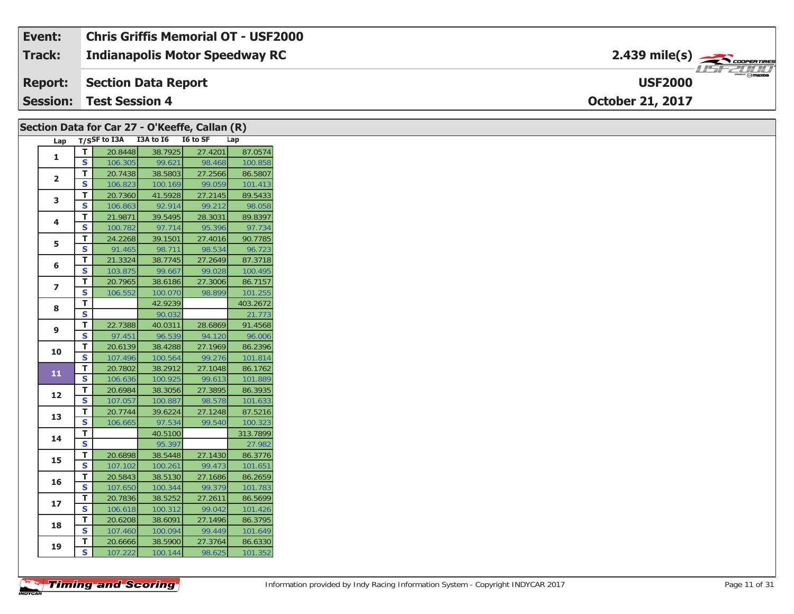| Event: | Chris Griffis Memorial OT - USF2000   |                                                                                                                                                                                                                                                                                                                                                                                                                                                                                                   |
|--------|---------------------------------------|---------------------------------------------------------------------------------------------------------------------------------------------------------------------------------------------------------------------------------------------------------------------------------------------------------------------------------------------------------------------------------------------------------------------------------------------------------------------------------------------------|
| Track: | <b>Indianapolis Motor Speedway RC</b> | $2.439$ mile(s) $\frac{1}{2.566}$ coorentment                                                                                                                                                                                                                                                                                                                                                                                                                                                     |
|        | <b>Report:</b> Section Data Report    | $\overline{\phantom{a}}$ $\overline{\phantom{a}}$ $\overline{\phantom{a}}$ $\overline{\phantom{a}}$ $\overline{\phantom{a}}$ $\overline{\phantom{a}}$ $\overline{\phantom{a}}$ $\overline{\phantom{a}}$ $\overline{\phantom{a}}$ $\overline{\phantom{a}}$ $\overline{\phantom{a}}$ $\overline{\phantom{a}}$ $\overline{\phantom{a}}$ $\overline{\phantom{a}}$ $\overline{\phantom{a}}$ $\overline{\phantom{a}}$ $\overline{\phantom{a}}$ $\overline{\phantom{a}}$ $\overline{\$<br><b>USF2000</b> |
|        | <b>Session: Test Session 4</b>        | <b>October 21, 2017</b>                                                                                                                                                                                                                                                                                                                                                                                                                                                                           |

|                         |                         | Section Data for Car 27 - O'Keeffe, Callan (R) |         |         |          |
|-------------------------|-------------------------|------------------------------------------------|---------|---------|----------|
|                         |                         | Lap T/SSF to I3A I3A to I6 I6 to SF            |         |         | Lap      |
| $\mathbf{1}$            | T                       | 20.8448                                        | 38.7925 | 27.4201 | 87.0574  |
|                         | $\mathbf{s}$            | 106.305                                        | 99.621  | 98.468  | 100.858  |
| $\overline{2}$          | T                       | 20.7438                                        | 38.5803 | 27.2566 | 86.5807  |
|                         | S                       | 106.823                                        | 100.169 | 99.059  | 101.413  |
| 3                       | T.                      | 20.7360                                        | 41.5928 | 27.2145 | 89.5433  |
|                         | $\mathbf{s}$            | 106.863                                        | 92.914  | 99.212  | 98.058   |
| 4                       | T                       | 21.9871                                        | 39.5495 | 28.3031 | 89.8397  |
|                         | S                       | 100.782                                        | 97.714  | 95.396  | 97.734   |
| 5                       | T                       | 24.2268                                        | 39.1501 | 27.4016 | 90.7785  |
|                         | S                       | 91.465                                         | 98.711  | 98.534  | 96.723   |
| 6                       | T                       | 21.3324                                        | 38.7745 | 27.2649 | 87.3718  |
|                         | S                       | 103.875                                        | 99.667  | 99.028  | 100.495  |
| $\overline{\mathbf{z}}$ | T                       | 20.7965                                        | 38.6186 | 27.3006 | 86.7157  |
|                         | S                       | 106.552                                        | 100.070 | 98.899  | 101.255  |
| 8                       | T                       |                                                | 42.9239 |         | 403.2672 |
|                         | $\mathbf s$             |                                                | 90.032  |         | 21.773   |
| 9                       | Т                       | 22.7388                                        | 40.0311 | 28.6869 | 91.4568  |
|                         | S                       | 97.451                                         | 96.539  | 94.120  | 96.006   |
| 10                      | T                       | 20.6139                                        | 38.4288 | 27.1969 | 86.2396  |
|                         | S                       | 107.496                                        | 100.564 | 99.276  | 101.814  |
| 11                      | T                       | 20.7802                                        | 38.2912 | 27.1048 | 86.1762  |
|                         | S                       | 106.636                                        | 100.925 | 99.613  | 101.889  |
| 12                      | T                       | 20.6984                                        | 38.3056 | 27.3895 | 86.3935  |
|                         | S                       | 107.057                                        | 100.887 | 98.578  | 101.633  |
| 13                      | T                       | 20.7744                                        | 39.6224 | 27.1248 | 87.5216  |
|                         | S                       | 106.665                                        | 97.534  | 99.540  | 100.323  |
| 14                      | T.                      |                                                | 40.5100 |         | 313.7899 |
|                         | <b>S</b>                |                                                | 95.397  |         | 27.982   |
| 15                      | T                       | 20.6898                                        | 38.5448 | 27.1430 | 86.3776  |
|                         | $\overline{\mathbf{s}}$ | 107.102                                        | 100.261 | 99.473  | 101.651  |
| 16                      | T                       | 20.5843                                        | 38.5130 | 27.1686 | 86.2659  |
|                         | S                       | 107.650                                        | 100.344 | 99.379  | 101.783  |
| 17                      | Т                       | 20.7836                                        | 38.5252 | 27.2611 | 86.5699  |
|                         | S                       | 106.618                                        | 100.312 | 99.042  | 101.426  |
| 18                      | T                       | 20.6208                                        | 38.6091 | 27.1496 | 86.3795  |
|                         | S                       | 107.460                                        | 100.094 | 99.449  | 101.649  |
| 19                      | T.                      | 20.6666                                        | 38.5900 | 27.3764 | 86.6330  |
|                         | <b>S</b>                | 107.222                                        | 100.144 | 98.625  | 101.352  |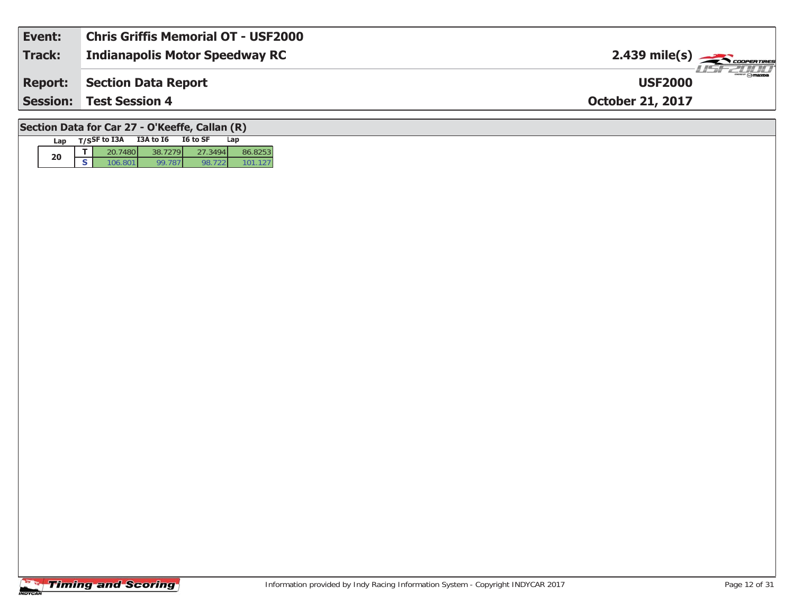| Event:         | <b>Chris Griffis Memorial OT - USF2000</b> |                                           |
|----------------|--------------------------------------------|-------------------------------------------|
| Track:         | <b>Indianapolis Motor Speedway RC</b>      | $2.439$ mile(s) $\rightarrow$ COOPERTIRES |
| <b>Report:</b> | Section Data Report                        | <b>USF2000</b>                            |
|                | <b>Session: Test Session 4</b>             | <b>October 21, 2017</b>                   |
|                |                                            |                                           |

### **Section Data for Car 27 - O'Keeffe, Callan (R)**

| Lap | T/SSF to I3A | <b>I3A to 16</b> | I6 to SF | Lap |
|-----|--------------|------------------|----------|-----|
|     |              |                  |          |     |
| 20  | T(A)         |                  |          |     |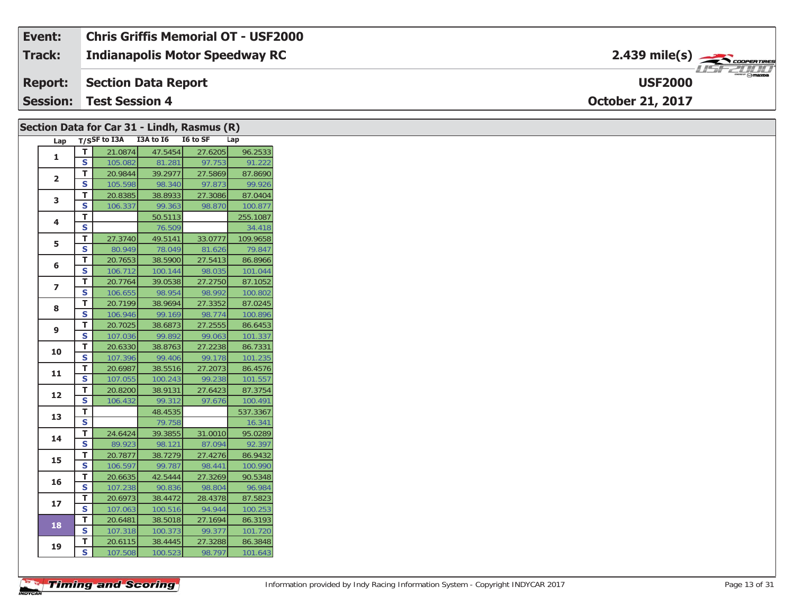#### **Event: Chris Griffis Memorial OT - USF2000**2.439 mile(s) **2.439 miles Indianapolis Motor Speedway RC Track:** 1151-21111 **Section Data Report USF2000Report: Session:October 21, 2017 Test Session 4**

|                         |                               |                                 |                   | Section Data for Car 31 - Lindh, Rasmus (R) |                   |
|-------------------------|-------------------------------|---------------------------------|-------------------|---------------------------------------------|-------------------|
| Lap                     |                               | T/SSF to I3A I3A to I6 I6 to SF |                   |                                             | Lap               |
| $\mathbf{1}$            | T                             | 21.0874                         | 47.5454           | 27.6205                                     | 96.2533           |
|                         | S                             | 105.082                         | 81.281            | 97.753                                      | 91.222            |
| $\mathbf{2}$            | T.                            | 20.9844                         | 39.2977           | 27.5869                                     | 87.8690           |
|                         | S                             | 105.598                         | 98.340            | 97.873                                      | 99.926            |
| 3                       | T.                            | 20.8385                         | 38.8933           | 27.3086                                     | 87.0404           |
|                         | S                             | 106.337                         | 99.363            | 98.870                                      | 100.877           |
| 4                       | T.                            |                                 | 50.5113           |                                             | 255.1087          |
|                         | S                             |                                 | 76.509            |                                             | 34.418            |
| 5                       | T.                            | 27.3740                         | 49.5141           | 33.0777                                     | 109.9658          |
|                         | S.                            | 80.949                          | 78.049            | 81.626                                      | 79.847            |
| 6                       | T                             | 20.7653                         | 38.5900           | 27.5413                                     | 86.8966           |
|                         | S                             | 106.712                         | 100.144           | 98.035                                      | 101.044           |
| $\overline{\mathbf{z}}$ | T.                            | 20.7764                         | 39.0538           | 27.2750                                     | 87.1052           |
|                         | S                             | 106.655                         | 98.954            | 98.992                                      | 100.802           |
| 8                       | T                             | 20.7199                         | 38.9694           | 27.3352                                     | 87.0245           |
|                         | S                             | 106.946                         | 99.169            | 98.774                                      | 100.896           |
| 9                       | T.                            | 20.7025                         | 38.6873           | 27.2555                                     | 86.6453           |
|                         | S                             | 107.036                         | 99.892            | 99.063                                      | 101.337           |
| 10                      | T.                            | 20.6330                         | 38.8763           | 27.2238                                     | 86.7331           |
|                         | S                             | 107.396                         | 99.406            | 99.178                                      | 101.235           |
| 11                      | т                             | 20.6987                         | 38.5516           | 27.2073                                     | 86.4576           |
|                         | S                             | 107.055                         | 100.243           | 99.238                                      | 101.557           |
| 12                      | T.                            | 20.8200                         | 38.9131           | 27.6423                                     | 87.3754           |
|                         | S                             | 106.432                         | 99.312            | 97.676                                      | 100.491           |
| 13                      | T.<br>$\overline{\mathbf{s}}$ |                                 | 48.4535           |                                             | 537.3367          |
|                         |                               |                                 | 79.758            |                                             | 16.341            |
| 14                      | T<br>$\overline{\mathbf{s}}$  | 24.6424<br>89.923               | 39.3855<br>98.121 | 31.0010<br>87.094                           | 95.0289<br>92.397 |
|                         |                               |                                 |                   |                                             | 86.9432           |
| 15                      | T.<br>S                       | 20.7877<br>106.597              | 38.7279<br>99.787 | 27.4276<br>98.441                           |                   |
|                         |                               |                                 |                   | 27.3269                                     | 100.990           |
| 16                      | Τ.<br>$\overline{\mathbf{s}}$ | 20.6635<br>107.238              | 42.5444<br>90.836 | 98.804                                      | 90.5348<br>96.984 |
|                         | T.                            | 20.6973                         | 38.4472           | 28.4378                                     | 87.5823           |
| 17                      | S                             | 107.063                         | 100.516           | 94.944                                      | 100.253           |
|                         | T.                            | 20.6481                         | 38.5018           | 27.1694                                     | 86.3193           |
| 18                      | S                             | 107.318                         | 100.373           | 99.377                                      | 101.720           |
|                         | Τ.                            | 20.6115                         | 38.4445           | 27.3288                                     | 86.3848           |
| 19                      | S.                            | 107.508                         | 100.523           | 98.797                                      | 101.643           |
|                         |                               |                                 |                   |                                             |                   |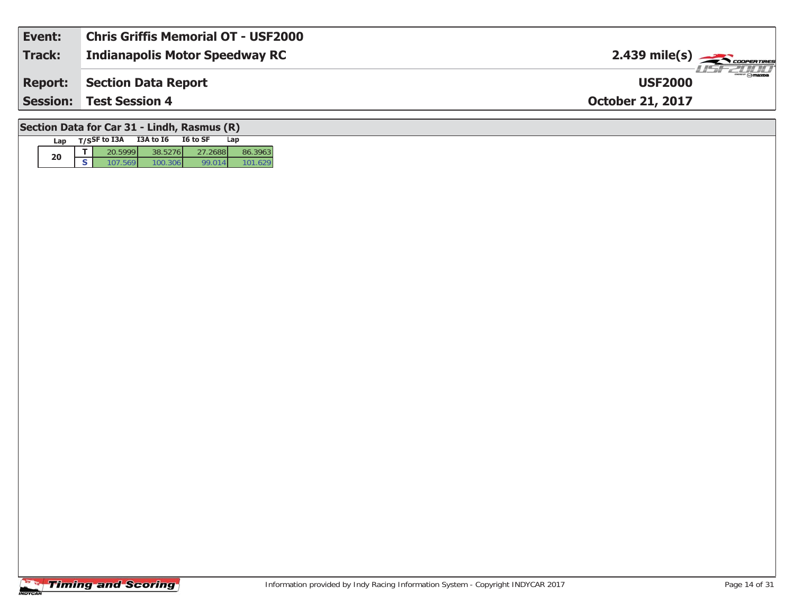| Event:                                      | <b>Chris Griffis Memorial OT - USF2000</b> |                                                                                                                                                                                                                                                                                                                                                                                                                    |  |  |  |  |  |
|---------------------------------------------|--------------------------------------------|--------------------------------------------------------------------------------------------------------------------------------------------------------------------------------------------------------------------------------------------------------------------------------------------------------------------------------------------------------------------------------------------------------------------|--|--|--|--|--|
| Track:                                      | <b>Indianapolis Motor Speedway RC</b>      | 2.439 mile(s) $\frac{1}{\sqrt{1-\frac{1}{2}}}\frac{1}{\sqrt{1-\frac{1}{2}}}\frac{1}{\sqrt{1-\frac{1}{2}}}\frac{1}{\sqrt{1-\frac{1}{2}}}\frac{1}{\sqrt{1-\frac{1}{2}}}\frac{1}{\sqrt{1-\frac{1}{2}}}\frac{1}{\sqrt{1-\frac{1}{2}}}\frac{1}{\sqrt{1-\frac{1}{2}}}\frac{1}{\sqrt{1-\frac{1}{2}}}\frac{1}{\sqrt{1-\frac{1}{2}}}\frac{1}{\sqrt{1-\frac{1}{2}}}\frac{1}{\sqrt{1-\frac{1}{2}}}\frac{1}{\sqrt{1-\frac{1}{$ |  |  |  |  |  |
| <b>Report:</b>                              | Section Data Report                        | <b>USF2000</b>                                                                                                                                                                                                                                                                                                                                                                                                     |  |  |  |  |  |
|                                             | <b>Session: Test Session 4</b>             | <b>October 21, 2017</b>                                                                                                                                                                                                                                                                                                                                                                                            |  |  |  |  |  |
| Section Data for Car 31 - Lindh, Rasmus (R) |                                            |                                                                                                                                                                                                                                                                                                                                                                                                                    |  |  |  |  |  |

# **Timing and Scoring**

Lap T/S<sup>SF</sup> to I3A I3A to I6 I6 to SF Lap

**d T** 20.5999 38.5276 27.2688 86.3963<br>**S** 107.569 100.306 99.014 101.629

101.629

**20**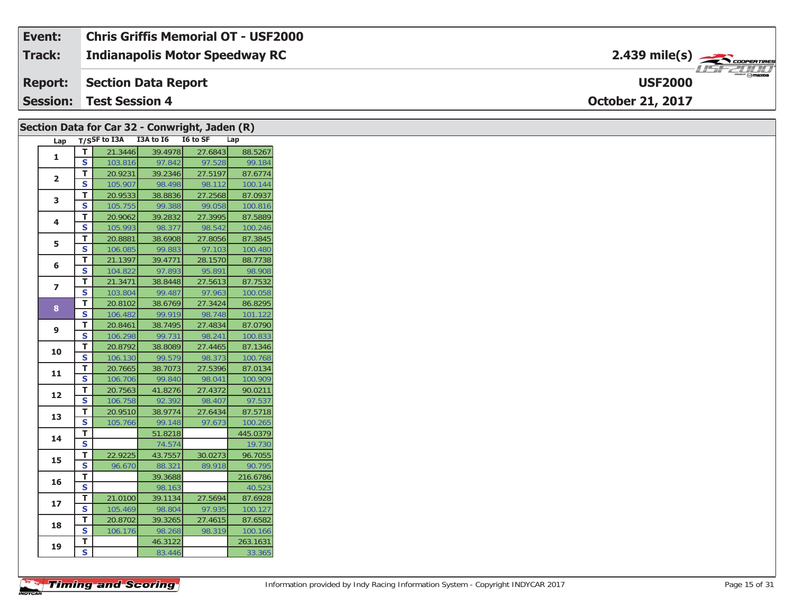| Event:          | <b>Chris Griffis Memorial OT - USF2000</b> |                                                |
|-----------------|--------------------------------------------|------------------------------------------------|
| <b>Track:</b>   | <b>Indianapolis Motor Speedway RC</b>      | $2.439$ mile(s) $\rightarrow$ COOPERTIRES      |
| <b>Report:</b>  | Section Data Report                        | $\frac{2\pi}{\omega}$ omazoa<br><b>USF2000</b> |
| <b>Session:</b> | <b>Test Session 4</b>                      | <b>October 21, 2017</b>                        |

| Section Data for Car 32 - Conwright, Jaden (R) |                         |                                     |                   |         |                    |
|------------------------------------------------|-------------------------|-------------------------------------|-------------------|---------|--------------------|
|                                                |                         | Lap T/SSF to I3A I3A to I6 I6 to SF |                   |         | Lap                |
| $\mathbf{1}$                                   | $\overline{T}$          | 21.3446                             | 39.4978           | 27.6843 | 88.5267            |
|                                                | $\overline{\mathbf{s}}$ | 103.816                             | 97.842            | 97.528  | 99.184             |
| $\overline{2}$                                 | T                       | 20.9231                             | 39.2346           | 27.5197 | 87.6774            |
|                                                | S                       | 105.907                             | 98.498            | 98.112  | 100.144            |
| 3                                              | T                       | 20.9533                             | 38.8836           | 27.2568 | 87.0937            |
|                                                | $\mathsf{s}$            | 105.755                             | 99.388            | 99.058  | 100.816            |
| 4                                              | T                       | 20.9062                             | 39.2832           | 27.3995 | 87.5889            |
|                                                | S                       | 105.993                             | 98.377            | 98.542  | 100.246            |
| 5                                              | T.                      | 20.8881                             | 38.6908           | 27.8056 | 87.3845            |
|                                                | S                       | 106.085                             | 99.883            | 97.103  | 100.480            |
| 6                                              | T.                      | 21.1397                             | 39.4771           | 28.1570 | 88.7738            |
|                                                | S                       | 104.822                             | 97.893            | 95.891  | 98.908             |
| $\overline{ }$                                 | T                       | 21.3471                             | 38.8448           | 27.5613 | 87.7532            |
|                                                | <b>S</b>                | 103.804                             | 99.487            | 97.963  | 100.058            |
| 8                                              | T                       | 20.8102                             | 38.6769           | 27.3424 | 86.8295            |
|                                                | $\mathsf{s}$            | 106.482                             | 99.919            | 98.748  | 101.122            |
| 9                                              | $\mathbf{T}$            | 20.8461                             | 38.7495           | 27.4834 | 87.0790            |
|                                                | $\mathsf{s}$            | 106.298                             | 99.731            | 98.241  | 100.833            |
| 10                                             | T                       | 20.8792                             | 38.8089           | 27.4465 | 87.1346            |
|                                                | $\mathbf{s}$            | 106.130                             | 99.579            | 98.373  | 100.768            |
| 11                                             | T                       | 20.7665                             | 38.7073           | 27.5396 | 87.0134            |
|                                                | S                       | 106.706                             | 99.840            | 98.041  | 100.909            |
| 12                                             | T.                      | 20.7563                             | 41.8276           | 27.4372 | 90.0211            |
|                                                | S                       | 106.758                             | 92.392            | 98.407  | 97.537             |
| 13                                             | T                       | 20.9510                             | 38.9774           | 27.6434 | 87.5718            |
|                                                | S                       | 105.766                             | 99.148            | 97.673  | 100.265            |
| 14                                             | T                       |                                     | 51.8218           |         | 445.0379           |
|                                                | $\overline{\mathbf{s}}$ |                                     | 74.574            |         | 19.730             |
| 15                                             | T.                      | 22.9225                             | 43.7557           | 30.0273 | 96.7055            |
|                                                | S                       | 96.670                              | 88.321            | 89.918  | 90.795             |
| 16                                             | T                       |                                     | 39.3688           |         | 216.6786           |
|                                                | $\overline{\mathbf{s}}$ |                                     | 98.163            |         | 40.523             |
| 17                                             | T.                      | 21.0100                             | 39.1134           | 27.5694 | 87.6928            |
|                                                | S                       | 105.469                             | 98.804            | 97.935  | 100.127            |
|                                                | T                       | 20.8702                             | 39.3265           | 27.4615 | 87.6582            |
|                                                |                         |                                     |                   |         |                    |
| 18                                             | S                       | 106.176                             | 98.268            | 98.319  | 100.166            |
| 19                                             | T<br>$\mathbf s$        |                                     | 46.3122<br>83.446 |         | 263.1631<br>33.365 |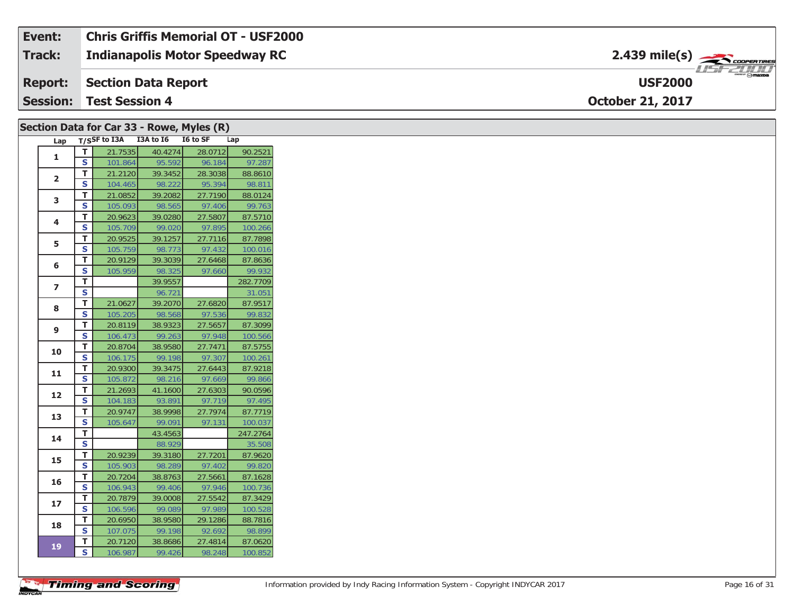| Event:          | <b>Chris Griffis Memorial OT - USF2000</b> |                                                          |
|-----------------|--------------------------------------------|----------------------------------------------------------|
| <b>Track:</b>   | <b>Indianapolis Motor Speedway RC</b>      | $2.439$ mile(s) $\frac{1}{2.566}$ coorentment            |
|                 | <b>Report: Section Data Report</b>         | $\overline{\phantom{a}}$ $\odot$ mazpa<br><b>USF2000</b> |
| <b>Session:</b> | Test Session 4                             | <b>October 21, 2017</b>                                  |

|                         |                         | Section Data for Car 33 - Rowe, Myles (R) |         |         |          |
|-------------------------|-------------------------|-------------------------------------------|---------|---------|----------|
|                         |                         | Lap T/SSF to I3A I3A to I6 I6 to SF       |         |         | Lap      |
| 1                       | T.                      | 21.7535                                   | 40.4274 | 28.0712 | 90.2521  |
|                         | S                       | 101.864                                   | 95.592  | 96.184  | 97.287   |
|                         | T.                      | 21.2120                                   | 39.3452 | 28.3038 | 88.8610  |
| $\overline{2}$          | S                       | 104.465                                   | 98.222  | 95.394  | 98.811   |
| 3                       | T.                      | 21.0852                                   | 39.2082 | 27.7190 | 88.0124  |
|                         | S                       | 105.093                                   | 98.565  | 97.406  | 99.763   |
| 4                       | T                       | 20.9623                                   | 39.0280 | 27.5807 | 87.5710  |
|                         | S                       | 105.709                                   | 99.020  | 97.895  | 100.266  |
| 5                       | T.                      | 20.9525                                   | 39.1257 | 27.7116 | 87.7898  |
|                         | S                       | 105.759                                   | 98.773  | 97.432  | 100.016  |
| 6                       | T.                      | 20.9129                                   | 39.3039 | 27.6468 | 87.8636  |
|                         | S                       | 105.959                                   | 98.325  | 97.660  | 99.932   |
| $\overline{\mathbf{z}}$ | T.                      |                                           | 39.9557 |         | 282.7709 |
|                         | S                       |                                           | 96.721  |         | 31.051   |
| 8                       | T                       | 21.0627                                   | 39.2070 | 27.6820 | 87.9517  |
|                         | S                       | 105.205                                   | 98.568  | 97.536  | 99.832   |
| 9                       | Τ.                      | 20.8119                                   | 38.9323 | 27.5657 | 87.3099  |
|                         | S                       | 106.473                                   | 99.263  | 97.948  | 100.566  |
| 10                      | T.                      | 20.8704                                   | 38.9580 | 27.7471 | 87.5755  |
|                         | S                       | 106.175                                   | 99.198  | 97.307  | 100.261  |
| 11                      | T.                      | 20.9300                                   | 39.3475 | 27.6443 | 87.9218  |
|                         | S                       | 105.872                                   | 98.216  | 97.669  | 99.866   |
| 12                      | T.                      | 21.2693                                   | 41.1600 | 27.6303 | 90.0596  |
|                         | S                       | 104.183                                   | 93.891  | 97.719  | 97.495   |
| 13                      | T.                      | 20.9747                                   | 38.9998 | 27.7974 | 87.7719  |
|                         | S                       | 105.647                                   | 99.091  | 97.131  | 100.037  |
| 14                      | T.                      |                                           | 43.4563 |         | 247.2764 |
|                         | $\overline{\mathbf{s}}$ |                                           | 88.929  |         | 35.508   |
| 15                      | T.                      | 20.9239                                   | 39.3180 | 27.7201 | 87.9620  |
|                         | S                       | 105.903                                   | 98.289  | 97.402  | 99.820   |
| 16                      | T                       | 20.7204                                   | 38.8763 | 27.5661 | 87.1628  |
|                         | S                       | 106.943                                   | 99.406  | 97.946  | 100.736  |
| 17                      | T.                      | 20.7879                                   | 39.0008 | 27.5542 | 87.3429  |
|                         | S                       | 106.596                                   | 99.089  | 97.989  | 100.528  |
| 18                      | Τ.                      | 20.6950                                   | 38.9580 | 29.1286 | 88.7816  |
|                         | S                       | 107.075                                   | 99.198  | 92.692  | 98.899   |
| 19                      | T.                      | 20.7120                                   | 38.8686 | 27.4814 | 87.0620  |
|                         | S                       | 106.987                                   | 99.426  | 98.248  | 100.852  |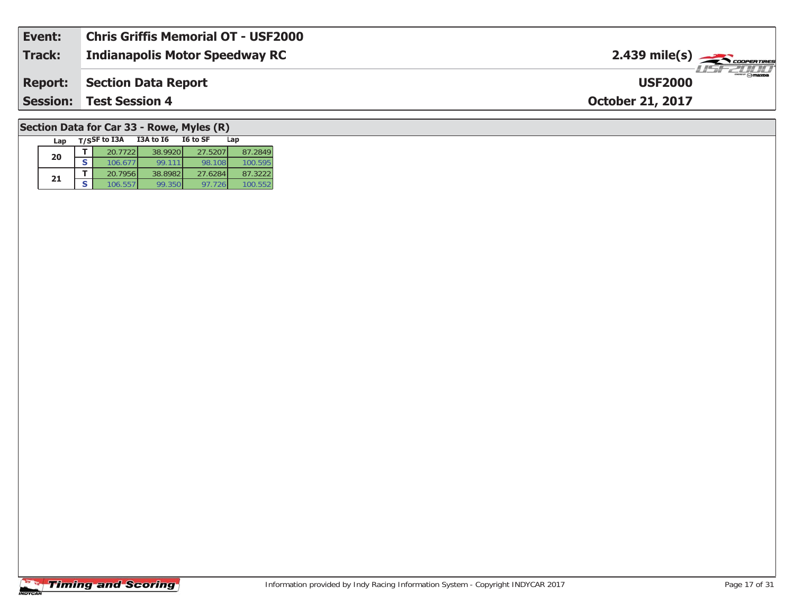| <b>Session:</b> | <b>Test Session 4</b>               | <b>October 21, 2017</b>                       |
|-----------------|-------------------------------------|-----------------------------------------------|
| <b>Report:</b>  | Section Data Report                 | $\frac{2}{\sqrt{2}}$ omazoa<br><b>USF2000</b> |
| Track:          | Indianapolis Motor Speedway RC      | $2.439$ mile(s) $\rightarrow$ COOPERTIRES     |
| Event:          | Chris Griffis Memorial OT - USF2000 |                                               |

## **Section Data for Car 33 - Rowe, Myles (R)**

| Lap | $T/S$ SF to I3A | I3A to I6 | I6 to SF | Lap     |
|-----|-----------------|-----------|----------|---------|
| 20  | 20.7722         | 38.9920   | 27.5207  | 87.2849 |
|     | 106.67          | 99.111    | 98.108   | 100.595 |
| 21  | 20.7956         | 38.8982   | 27.6284  | 87.3222 |
|     | 106.55          | 99.350    | 97.726   |         |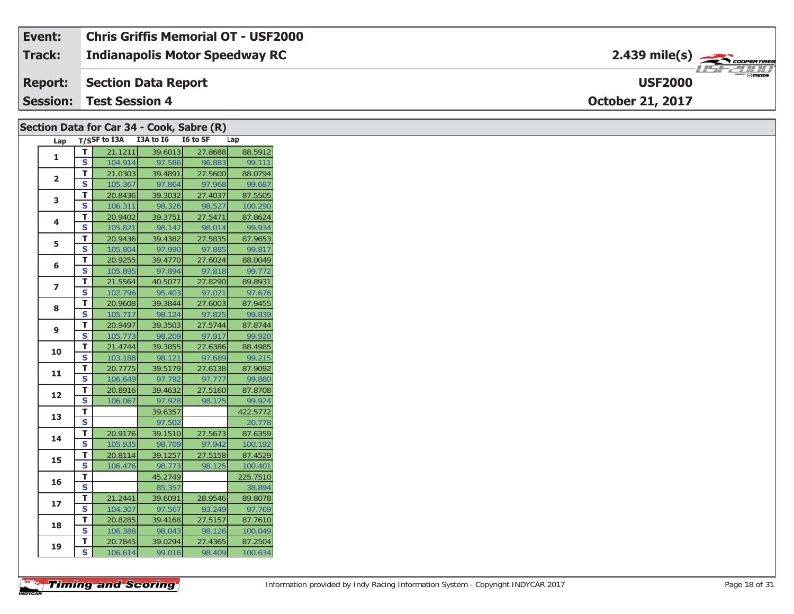| Event:         | <b>Chris Griffis Memorial OT - USF2000</b> |                                                                                                                                                                                                                                                                                                                                                                                                                                                                                                   |
|----------------|--------------------------------------------|---------------------------------------------------------------------------------------------------------------------------------------------------------------------------------------------------------------------------------------------------------------------------------------------------------------------------------------------------------------------------------------------------------------------------------------------------------------------------------------------------|
| Track:         | <b>Indianapolis Motor Speedway RC</b>      | $2.439$ mile(s) $\rightarrow$ COOPERTIRES                                                                                                                                                                                                                                                                                                                                                                                                                                                         |
| <b>Report:</b> | Section Data Report                        | $\overline{\phantom{a}}$ $\overline{\phantom{a}}$ $\overline{\phantom{a}}$ $\overline{\phantom{a}}$ $\overline{\phantom{a}}$ $\overline{\phantom{a}}$ $\overline{\phantom{a}}$ $\overline{\phantom{a}}$ $\overline{\phantom{a}}$ $\overline{\phantom{a}}$ $\overline{\phantom{a}}$ $\overline{\phantom{a}}$ $\overline{\phantom{a}}$ $\overline{\phantom{a}}$ $\overline{\phantom{a}}$ $\overline{\phantom{a}}$ $\overline{\phantom{a}}$ $\overline{\phantom{a}}$ $\overline{\$<br><b>USF2000</b> |
|                | <b>Session: Test Session 4</b>             | <b>October 21, 2017</b>                                                                                                                                                                                                                                                                                                                                                                                                                                                                           |

|                |             | Section Data for Car 34 - Cook, Sabre (R) |         |         |          |
|----------------|-------------|-------------------------------------------|---------|---------|----------|
| Lap            |             | T/SSF to I3A I3A to I6 I6 to SF           |         |         | Lap      |
| $\mathbf{1}$   | T.          | 21.1211                                   | 39.6013 | 27.8688 | 88.5912  |
|                | S           | 104.914                                   | 97.586  | 96.883  | 99.111   |
| $\mathbf{2}$   | T.          | 21.0303                                   | 39.4891 | 27.5600 | 88.0794  |
|                | S           | 105.367                                   | 97.864  | 97.968  | 99.687   |
| 3              | T.          | 20.8436                                   | 39.3032 | 27.4037 | 87.5505  |
|                | S           | 106.311                                   | 98.326  | 98.527  | 100.290  |
| 4              | T.          | 20.9402                                   | 39.3751 | 27.5471 | 87.8624  |
|                | S           | 105.821                                   | 98.147  | 98.014  | 99.934   |
| 5              | T.          | 20.9436                                   | 39.4382 | 27.5835 | 87.9653  |
|                | S           | 105.804                                   | 97.990  | 97.885  | 99.817   |
| 6              | T.          | 20.9255                                   | 39.4770 | 27.6024 | 88.0049  |
|                | S           | 105.895                                   | 97.894  | 97.818  | 99.772   |
| $\overline{ }$ | T.          | 21.5564                                   | 40.5077 | 27.8290 | 89.8931  |
|                | S           | 102.796                                   | 95.403  | 97.021  | 97.676   |
| 8              | T.          | 20.9608                                   | 39.3844 | 27.6003 | 87.9455  |
|                | S           | 105.717                                   | 98.124  | 97.825  | 99.839   |
| 9              | T.          | 20.9497                                   | 39.3503 | 27.5744 | 87.8744  |
|                | S           | 105.773                                   | 98.209  | 97.917  | 99.920   |
| 10             | T.          | 21.4744                                   | 39.3855 | 27.6386 | 88.4985  |
|                | S           | 103.188                                   | 98.121  | 97.689  | 99.215   |
| 11             | T.          | 20.7775                                   | 39.5179 | 27.6138 | 87.9092  |
|                | S           | 106.649                                   | 97.792  | 97.777  | 99.880   |
| 12             | T.          | 20.8916                                   | 39.4632 | 27.5160 | 87.8708  |
|                | S           | 106.067                                   | 97.928  | 98.125  | 99.924   |
| 13             | T.          |                                           | 39.6357 |         | 422.5772 |
|                | $\mathbf s$ |                                           | 97.502  |         | 20.778   |
| 14             | T.          | 20.9176                                   | 39.1510 | 27.5673 | 87.6359  |
|                | S           | 105.935                                   | 98.709  | 97.942  | 100.192  |
| 15             | Τ.          | 20.8114                                   | 39.1257 | 27.5158 | 87.4529  |
|                | S           | 106.476                                   | 98.773  | 98.125  | 100.401  |
| 16             | Τ.          |                                           | 45.2749 |         | 225.7510 |
|                | $\mathbf s$ |                                           | 85.357  |         | 38.894   |
| 17             | T.          | 21.2441                                   | 39.6091 | 28.9546 | 89.8078  |
|                | S           | 104.307                                   | 97.567  | 93.249  | 97.769   |
| 18             | T.          | 20.8285                                   | 39.4168 | 27.5157 | 87.7610  |
|                | S           | 106.388                                   | 98.043  | 98.126  | 100.049  |
| 19             | T.          | 20.7845                                   | 39.0294 | 27.4365 | 87.2504  |
|                | S           | 106.614                                   | 99.016  | 98.409  | 100.634  |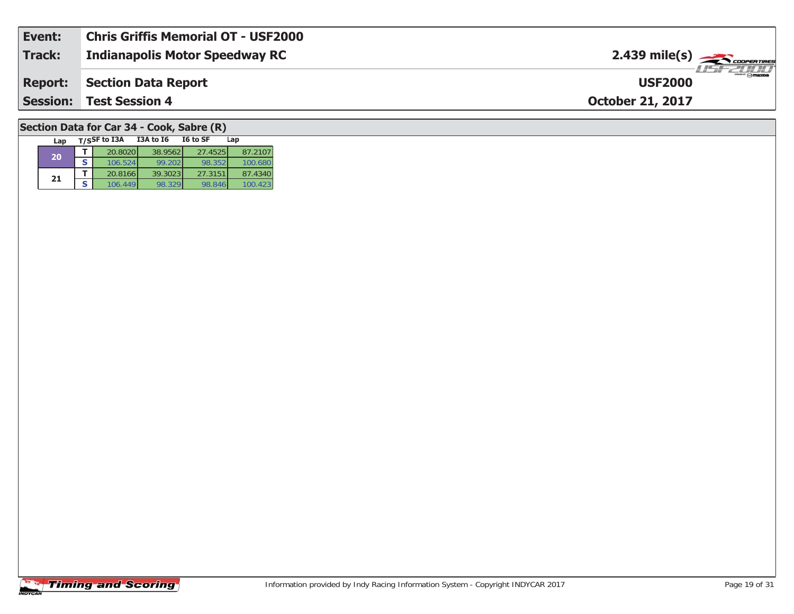| Event:          | <b>Chris Griffis Memorial OT - USF2000</b> |                                           |
|-----------------|--------------------------------------------|-------------------------------------------|
| Track:          | <b>Indianapolis Motor Speedway RC</b>      | $2.439$ mile(s) $\rightarrow$ COOPERTIRES |
| <b>Report:</b>  | Section Data Report                        | <b>USF2000</b>                            |
| <b>Session:</b> | <b>Test Session 4</b>                      | <b>October 21, 2017</b>                   |
|                 |                                            |                                           |

### **Section Data for Car 34 - Cook, Sabre (R)**

| Lap |   | $T/S$ SF to I3A | I3A to I6 | I6 to SF | Lap     |
|-----|---|-----------------|-----------|----------|---------|
| 20  |   | 20.8020         | 38.9562   | 27.4525  | 87.2107 |
|     | S | 106.524         | 99.202    | 98.352   | 100.680 |
|     |   | 20.8166         | 39.3023   | 27.3151  | 87.4340 |
| 21  | S | 106.449         | 98.329    | 98.846   | 100.423 |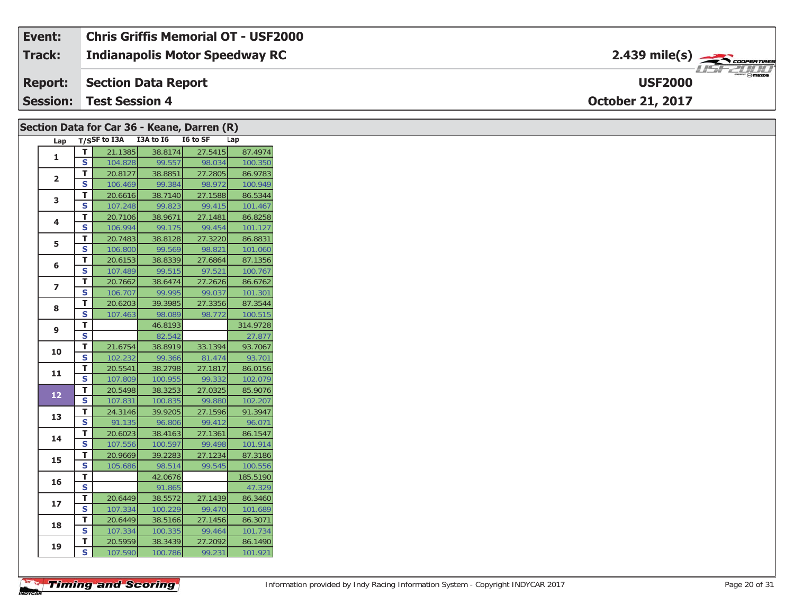#### **Event: Chris Griffis Memorial OT - USF2000**2.439 mile(s) **2.439 miles Indianapolis Motor Speedway RC Track:** 1151-21111 **Section Data Report USF2000Report: Session:October 21, 2017 Test Session 4**

|                         |                         |         |                                 | Section Data for Car 36 - Keane, Darren (R) |          |
|-------------------------|-------------------------|---------|---------------------------------|---------------------------------------------|----------|
| Lap                     |                         |         | T/SSF to I3A I3A to I6 I6 to SF |                                             | Lap      |
| $\mathbf{1}$            | $\mathbf T$             | 21.1385 | 38.8174                         | 27.5415                                     | 87.4974  |
|                         | $\overline{\mathbf{s}}$ | 104.828 | 99.557                          | 98.034                                      | 100.350  |
| $\overline{\mathbf{2}}$ | T                       | 20.8127 | 38.8851                         | 27.2805                                     | 86.9783  |
|                         | $\mathsf{s}$            | 106.469 | 99.384                          | 98.972                                      | 100.949  |
| 3                       | T                       | 20.6616 | 38.7140                         | 27.1588                                     | 86.5344  |
|                         | $\mathbf{s}$            | 107.248 | 99.823                          | 99.415                                      | 101.467  |
| 4                       | T                       | 20.7106 | 38.9671                         | 27.1481                                     | 86.8258  |
|                         | S                       | 106.994 | 99.175                          | 99.454                                      | 101.127  |
| 5                       | T                       | 20.7483 | 38.8128                         | 27.3220                                     | 86.8831  |
|                         | $\overline{\mathbf{s}}$ | 106.800 | 99.569                          | 98.821                                      | 101.060  |
| 6                       | T                       | 20.6153 | 38.8339                         | 27.6864                                     | 87.1356  |
|                         | <b>S</b>                | 107.489 | 99.515                          | 97.521                                      | 100.767  |
| $\overline{z}$          | T                       | 20.7662 | 38.6474                         | 27.2626                                     | 86.6762  |
|                         | S                       | 106.707 | 99.995                          | 99.037                                      | 101.301  |
| 8                       | $\mathbf{T}$            | 20.6203 | 39.3985                         | 27.3356                                     | 87.3544  |
|                         | $\mathsf{s}$            | 107.463 | 98.089                          | 98.772                                      | 100.515  |
| 9                       | $\mathsf T$             |         | 46.8193                         |                                             | 314.9728 |
|                         | $\overline{\mathbf{s}}$ |         | 82.542                          |                                             | 27.877   |
| 10                      | T                       | 21.6754 | 38.8919                         | 33.1394                                     | 93.7067  |
|                         | $\overline{\mathbf{s}}$ | 102.232 | 99.366                          | 81.474                                      | 93.701   |
| 11                      | T                       | 20.5541 | 38.2798                         | 27.1817                                     | 86.0156  |
|                         | $\overline{\mathbf{s}}$ | 107.809 | 100.955                         | 99.332                                      | 102.079  |
| $12$                    | T                       | 20.5498 | 38.3253                         | 27.0325                                     | 85.9076  |
|                         | $\overline{\mathbf{s}}$ | 107.831 | 100.835                         | 99.880                                      | 102.207  |
| 13                      | T                       | 24.3146 | 39.9205                         | 27.1596                                     | 91.3947  |
|                         | $\mathsf{s}$            | 91.135  | 96.806                          | 99.412                                      | 96.071   |
| 14                      | T                       | 20.6023 | 38.4163                         | 27.1361                                     | 86.1547  |
|                         | $\mathsf{s}$            | 107.556 | 100.597                         | 99.498                                      | 101.914  |
| 15                      | T                       | 20.9669 | 39.2283                         | 27.1234                                     | 87.3186  |
|                         | $\mathsf{s}$            | 105.686 | 98.514                          | 99.545                                      | 100.556  |
| 16                      | T.                      |         | 42.0676                         |                                             | 185.5190 |
|                         | $\overline{\mathbf{s}}$ |         | 91.865                          |                                             | 47.329   |
| 17                      | T                       | 20.6449 | 38.5572                         | 27.1439                                     | 86.3460  |
|                         | S                       | 107.334 | 100.229                         | 99.470                                      | 101.689  |
| 18                      | T.                      | 20.6449 | 38.5166                         | 27.1456                                     | 86.3071  |
|                         | $\mathsf{s}$            | 107.334 | 100.335                         | 99.464                                      | 101.734  |
| 19                      | T                       | 20.5959 | 38.3439                         | 27.2092                                     | 86.1490  |
|                         | <b>S</b>                | 107.590 | 100.786                         | 99.231                                      | 101.921  |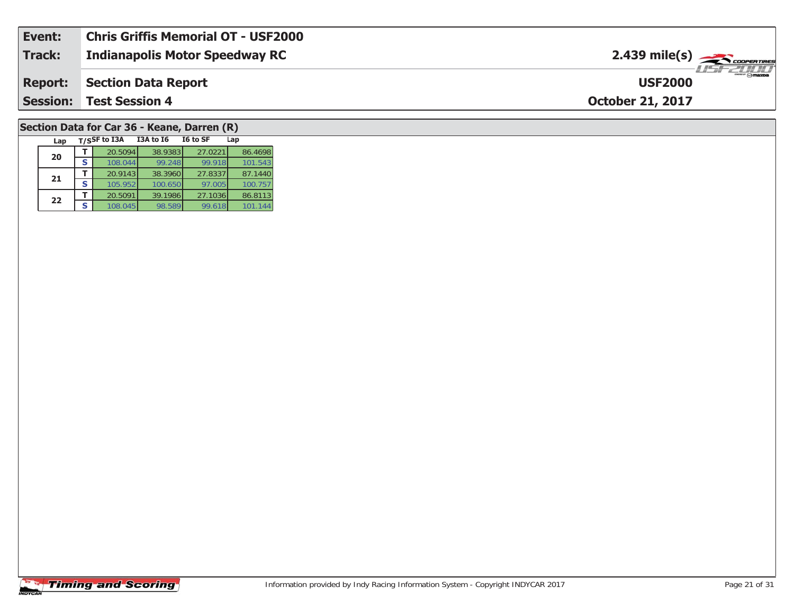| Event:        | <b>Chris Griffis Memorial OT - USF2000</b> |                                                       |
|---------------|--------------------------------------------|-------------------------------------------------------|
| <b>Track:</b> | <b>Indianapolis Motor Speedway RC</b>      | $2.439$ mile(s) $\overbrace{\hspace{2cm}}$ coorgainer |
|               | <b>Report: Section Data Report</b>         | <b>USF2000</b>                                        |
|               | <b>Session: Test Session 4</b>             | <b>October 21, 2017</b>                               |
|               |                                            |                                                       |

#### **Section Data for Car 36 - Keane, Darren (R)**

| Lap |   | T/SSF to I3A | <b>I3A to 16</b> | I6 to SF | Lap     |
|-----|---|--------------|------------------|----------|---------|
| 20  |   | 20.5094      | 38.9383          | 27.0221  | 86.4698 |
|     |   | 108.044      | 99.248           | 99.918   | 101.543 |
| 21  |   | 20.9143      | 38.3960          | 27.8337  | 87.1440 |
|     | S | 105.952      | 100.650          | 97.005   | 100.757 |
| 22  |   | 20.5091      | 39.1986          | 27.1036  | 86.8113 |
|     |   | 108.045      | 98.589           | 99.618   | 101.144 |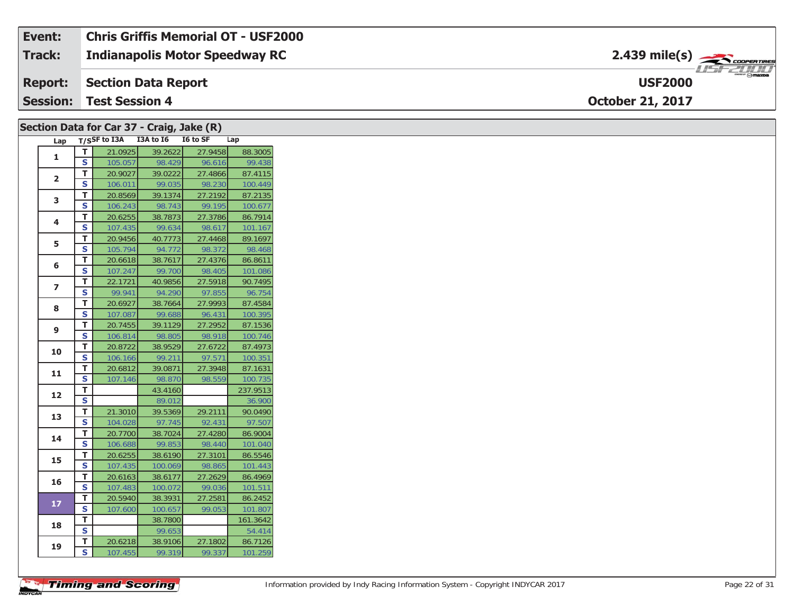| Event:          | Chris Griffis Memorial OT - USF2000   |                                          |
|-----------------|---------------------------------------|------------------------------------------|
| Track:          | <b>Indianapolis Motor Speedway RC</b> | $2.439$ mile(s) $\rightarrow$ Coorenames |
| <b>Report:</b>  | Section Data Report                   | mer @ mazoa<br><b>USF2000</b>            |
| <b>Session:</b> | <b>Test Session 4</b>                 | <b>October 21, 2017</b>                  |

#### **Lap T/SSF to I3A I3A to I6 I6 to SF Lap 1T** 21.0925 39.2622 27.9458 88.3005<br>**S** 105.057 98.429 96.616 99.438 **2T** 20.9027 39.0222 27.4866 87.4115<br>**S** 106.011 99.035 98.230 100.449 100.449 **3T** 20.8569 39.1374 27.2192 87.2135<br>**S** 106.243 98.743 99.195 100.677 **4 <sup>T</sup>** 20.6255 38.7873 27.3786 86.7914 **<sup>S</sup>** 107.435 99.634 98.617 101.167101.167 **5 <sup>T</sup>** 20.9456 40.7773 27.4468 89.1697 **<sup>S</sup>** 105.794 94.772 98.372 98.468**6T** 20.6618 38.7617 27.4376 86.8611<br>**S** 107.247 99.700 98.405 101.086 **7 <sup>T</sup>** 22.1721 40.9856 27.5918 90.7495 **<sup>S</sup>** 99.941 94.290 97.855 96.75496.754 **88 T** 20.6927 38.7664 27.9993 87.4584<br>**S** 107.087 99.688 96.431 100.395 **9 <sup>T</sup>** 20.7455 39.1129 27.2952 87.1536 **<sup>S</sup>** 106.814 98.805 98.918 100.746100.746 **10d T** 20.8722 38.9529 27.6722 87.4973<br>**S** 106.166 99.211 97.571 100.351 **11 <sup>T</sup>** 20.6812 39.0871 27.3948 87.1631 **<sup>S</sup>** 107.146 98.870 98.559 100.735**12T** 43.4160 237.9513<br> **S** 89.012 36.900 36.900 **13 <sup>T</sup>** 21.3010 39.5369 29.2111 90.0490 **<sup>S</sup>** 104.028 97.745 92.431 97.50797.507 **14 <sup>T</sup>** 20.7700 38.7024 27.4280 86.9004 **<sup>S</sup>** 106.688 99.853 98.440 101.040101.040 **15T** 20.6255 38.6190 27.3101 86.5546<br>**S** 107.435 100.069 98.865 101.443 **16 <sup>T</sup>** 20.6163 38.6177 27.2629 86.4969 **<sup>S</sup>** 107.483 100.072 99.036 101.511**17 <sup>T</sup>** 20.5940 38.3931 27.2581 86.2452 **<sup>S</sup>** 107.600 100.657 99.053 101.807101.807 **18R T** 38.7800 161.3642 54.414 **19 <sup>T</sup>** 20.6218 38.9106 27.1802 86.7126 **<sup>S</sup>** 107.455 99.319 99.337 101.259101.259 **Section Data for Car 37 - Craig, Jake (R)**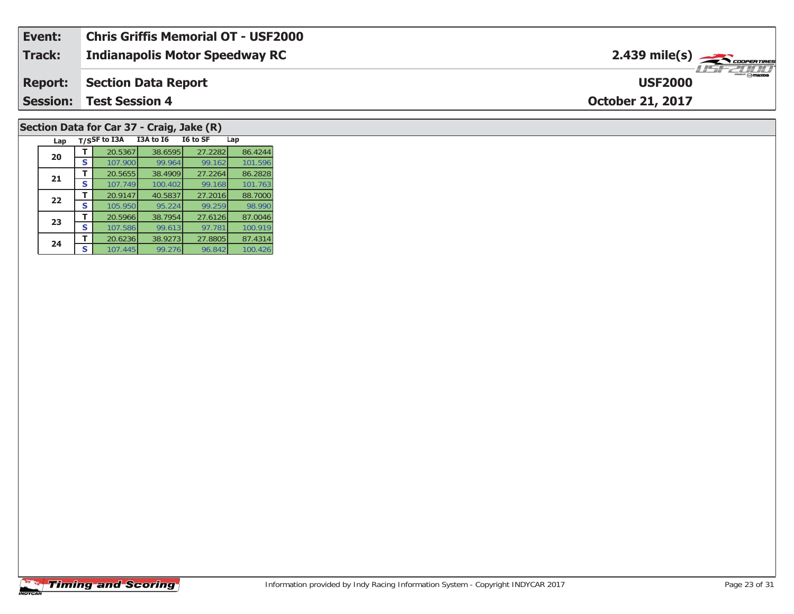| Event:          | Chris Griffis Memorial OT - USF2000   |                                           |
|-----------------|---------------------------------------|-------------------------------------------|
| Track:          | <b>Indianapolis Motor Speedway RC</b> | $2.439$ mile(s) $\rightarrow$ COOPERTIRES |
| <b>Report:</b>  | Section Data Report                   | <b>USF2000</b>                            |
| <b>Session:</b> | <b>Test Session 4</b>                 | <b>October 21, 2017</b>                   |
|                 |                                       |                                           |

### **Section Data for Car 37 - Craig, Jake (R)**

| Lap |   | T/SSF to I3A | I3A to I6 | I6 to SF | Lap     |
|-----|---|--------------|-----------|----------|---------|
| 20  |   | 20.5367      | 38.6595   | 27.2282  | 86.4244 |
|     | S | 107.900      | 99.964    | 99.162   | 101.596 |
| 21  |   | 20.5655      | 38.4909   | 27.2264  | 86.2828 |
|     | S | 107.749      | 100.402   | 99.168   | 101.763 |
| 22  |   | 20.9147      | 40.5837   | 27.2016  | 88.7000 |
|     | S | 105.950      | 95.224    | 99.259   | 98.990  |
| 23  |   | 20.5966      | 38.7954   | 27.6126  | 87.0046 |
|     | S | 107.586      | 99.613    | 97.781   | 100.919 |
| 24  |   | 20.6236      | 38.9273   | 27.8805  | 87.4314 |
|     | S | 107.445      | 99.276    | 96.842   | 100.426 |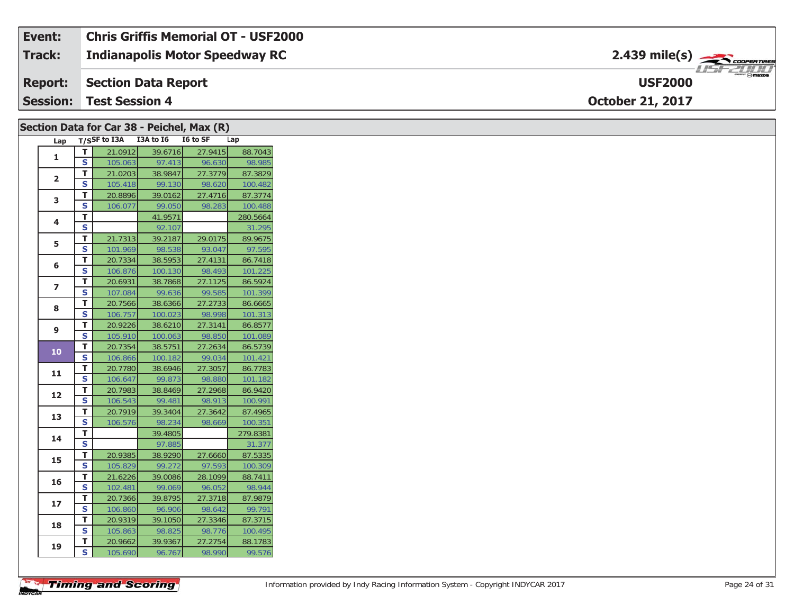| Event:         | <b>Chris Griffis Memorial OT - USF2000</b> |                                                                                                                                                                                                                                                                                                                                                                                                                                                                                                   |
|----------------|--------------------------------------------|---------------------------------------------------------------------------------------------------------------------------------------------------------------------------------------------------------------------------------------------------------------------------------------------------------------------------------------------------------------------------------------------------------------------------------------------------------------------------------------------------|
| Track:         | <b>Indianapolis Motor Speedway RC</b>      | $2.439$ mile(s) $\rightarrow$ Coorgannes                                                                                                                                                                                                                                                                                                                                                                                                                                                          |
| <b>Report:</b> | Section Data Report                        | $\overline{\phantom{a}}$ $\overline{\phantom{a}}$ $\overline{\phantom{a}}$ $\overline{\phantom{a}}$ $\overline{\phantom{a}}$ $\overline{\phantom{a}}$ $\overline{\phantom{a}}$ $\overline{\phantom{a}}$ $\overline{\phantom{a}}$ $\overline{\phantom{a}}$ $\overline{\phantom{a}}$ $\overline{\phantom{a}}$ $\overline{\phantom{a}}$ $\overline{\phantom{a}}$ $\overline{\phantom{a}}$ $\overline{\phantom{a}}$ $\overline{\phantom{a}}$ $\overline{\phantom{a}}$ $\overline{\$<br><b>USF2000</b> |
| Session:       | <b>Test Session 4</b>                      | <b>October 21, 2017</b>                                                                                                                                                                                                                                                                                                                                                                                                                                                                           |

| Section Data for Car 38 - Peichel, Max (R) |                         |         |                                     |         |          |
|--------------------------------------------|-------------------------|---------|-------------------------------------|---------|----------|
|                                            |                         |         | Lap T/SSF to I3A I3A to I6 I6 to SF |         | Lap      |
|                                            | T                       | 21.0912 | 39.6716                             | 27.9415 | 88.7043  |
| 1                                          | $\overline{\mathbf{s}}$ | 105.063 | 97.413                              | 96.630  | 98.985   |
|                                            | T                       | 21.0203 | 38.9847                             | 27.3779 | 87.3829  |
| $\overline{2}$                             | S                       | 105.418 | 99.130                              | 98.620  | 100.482  |
| 3                                          | T.                      | 20.8896 | 39.0162                             | 27.4716 | 87.3774  |
|                                            | S                       | 106.077 | 99.050                              | 98.283  | 100.488  |
| 4                                          | T.                      |         | 41.9571                             |         | 280.5664 |
|                                            | S                       |         | 92.107                              |         | 31.295   |
| 5                                          | T.                      | 21.7313 | 39.2187                             | 29.0175 | 89.9675  |
|                                            | S                       | 101.969 | 98.538                              | 93.047  | 97.595   |
| 6                                          | T                       | 20.7334 | 38.5953                             | 27.4131 | 86.7418  |
|                                            | S                       | 106.876 | 100.130                             | 98.493  | 101.225  |
| $\overline{ }$                             | T.                      | 20.6931 | 38.7868                             | 27.1125 | 86.5924  |
|                                            | S                       | 107.084 | 99.636                              | 99.585  | 101.399  |
| 8                                          | Т                       | 20.7566 | 38.6366                             | 27.2733 | 86.6665  |
|                                            | S                       | 106.757 | 100.023                             | 98.998  | 101.313  |
| 9                                          | Т                       | 20.9226 | 38.6210                             | 27.3141 | 86.8577  |
|                                            | S                       | 105.910 | 100.063                             | 98.850  | 101.089  |
| 10                                         | T.                      | 20.7354 | 38.5751                             | 27.2634 | 86.5739  |
|                                            | S                       | 106.866 | 100.182                             | 99.034  | 101.421  |
| 11                                         | T.                      | 20.7780 | 38.6946                             | 27.3057 | 86.7783  |
|                                            | S                       | 106.647 | 99.873                              | 98.880  | 101.182  |
| 12                                         | T.                      | 20.7983 | 38.8469                             | 27.2968 | 86.9420  |
|                                            | S                       | 106.543 | 99.481                              | 98.913  | 100.991  |
| 13                                         | T.                      | 20.7919 | 39.3404                             | 27.3642 | 87.4965  |
|                                            | S                       | 106.576 | 98.234                              | 98.669  | 100.351  |
| 14                                         | Т                       |         | 39.4805                             |         | 279.8381 |
|                                            | $\overline{\mathbf{s}}$ |         | 97.885                              |         | 31.377   |
| 15                                         | T                       | 20.9385 | 38.9290                             | 27.6660 | 87.5335  |
|                                            | S                       | 105.829 | 99.272                              | 97.593  | 100.309  |
| 16                                         | T.                      | 21.6226 | 39.0086                             | 28.1099 | 88.7411  |
|                                            | S                       | 102.481 | 99.069                              | 96.052  | 98.944   |
| 17                                         | T.                      | 20.7366 | 39.8795                             | 27.3718 | 87.9879  |
|                                            | S                       | 106.860 | 96.906                              | 98.642  | 99.791   |
| 18                                         | T.                      | 20.9319 | 39.1050                             | 27.3346 | 87.3715  |
|                                            | S                       | 105.863 | 98.825                              | 98.776  | 100.495  |
| 19                                         | T.                      | 20.9662 | 39.9367                             | 27.2754 | 88.1783  |
|                                            | S                       | 105.690 | 96.767                              | 98.990  | 99.576   |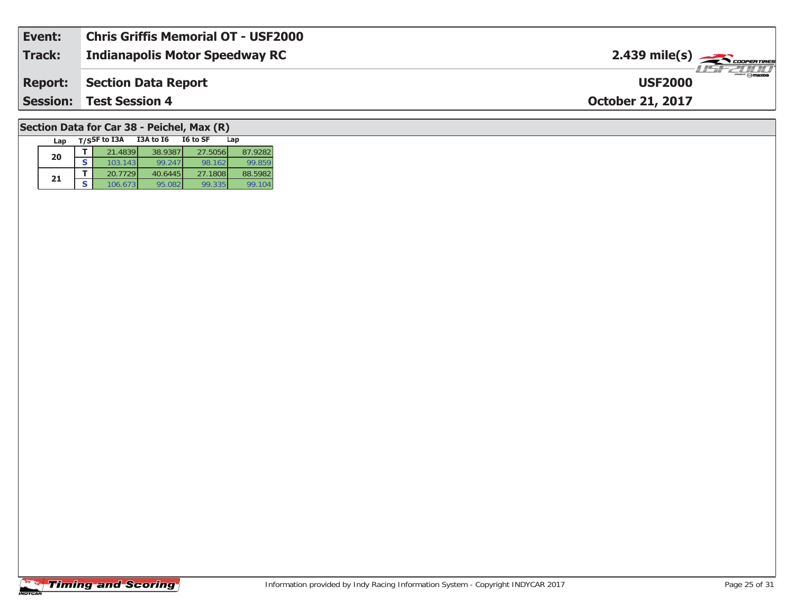| Event:          | <b>Chris Griffis Memorial OT - USF2000</b> |                                           |
|-----------------|--------------------------------------------|-------------------------------------------|
| Track:          | <b>Indianapolis Motor Speedway RC</b>      | $2.439$ mile(s) $\rightarrow$ COOPERTIRES |
| <b>Report:</b>  | Section Data Report                        | <b>USF2000</b>                            |
| <b>Session:</b> | <b>Test Session 4</b>                      | <b>October 21, 2017</b>                   |
|                 |                                            |                                           |

## **Section Data for Car 38 - Peichel, Max (R)**

| Lap | T/SSF to I3A | I3A to I6 | I6 to SF | Lap     |
|-----|--------------|-----------|----------|---------|
| 20  | 21.4839      | 38.9387   | 27.5056  | 87.9282 |
|     | 103.143      | 99.247    | 98.162   | 99.859  |
| 21  | 20.7729      | 40.6445   | 27.1808  | 88.5982 |
|     | 106.67       | 95.082    | 99.335   | 99.104  |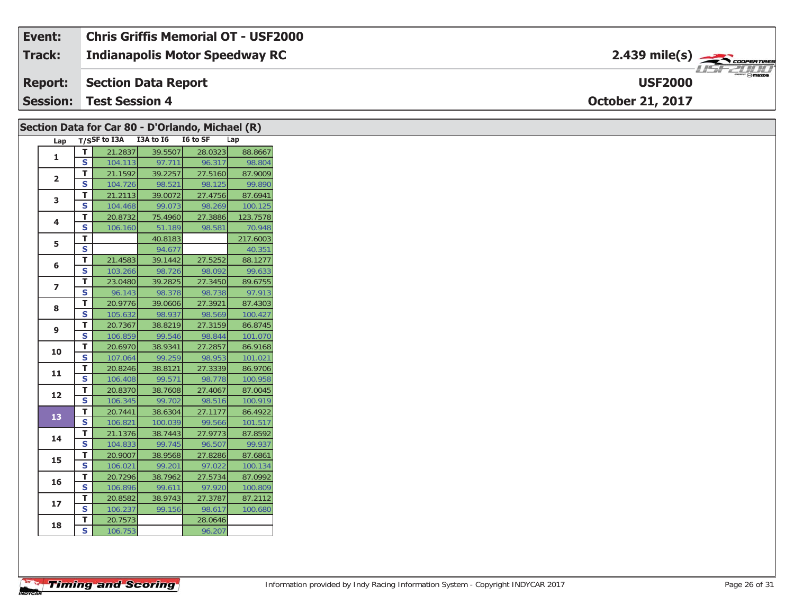| Event: | <b>Chris Griffis Memorial OT - USF2000</b> |                                            |
|--------|--------------------------------------------|--------------------------------------------|
| Track: | <b>Indianapolis Motor Speedway RC</b>      | $2.439$ mile(s) $\rightarrow$ COOPERTIRES  |
|        | <b>Report:</b> Section Data Report         | $\frac{1}{\Theta}$ mazoa<br><b>USF2000</b> |
|        | <b>Session: Test Session 4</b>             | <b>October 21, 2017</b>                    |

|                |                         | Section Data for Car 80 - D'Orlando, Michael (R) |                    |                   |                    |
|----------------|-------------------------|--------------------------------------------------|--------------------|-------------------|--------------------|
| Lap            |                         | T/SSF to I3A I3A to I6 I6 to SF                  |                    |                   | Lap                |
| $\mathbf{1}$   | $\mathbf T$             | 21.2837                                          | 39.5507            | 28.0323           | 88.8667            |
|                | $\overline{\mathbf{s}}$ | 104.113                                          | 97.711             | 96.317            | 98.804             |
| $\overline{2}$ | T                       | 21.1592                                          | 39.2257            | 27.5160           | 87.9009            |
|                | $\overline{\mathbf{s}}$ | 104.726                                          | 98.521             | 98.125            | 99.890             |
| 3              | T                       | 21.2113                                          | 39.0072            | 27.4756           | 87.6941            |
|                | $\mathsf{s}$            | 104.468                                          | 99.073             | 98.269            | 100.125            |
| 4              | $\mathbf T$             | 20.8732                                          | 75.4960            | 27.3886           | 123.7578           |
|                | $\mathsf{s}$            | 106.160                                          | 51.189             | 98.581            | 70.948             |
| 5              | $\mathbf T$             |                                                  | 40.8183            |                   | 217.6003           |
|                | $\overline{\mathbf{s}}$ |                                                  | 94.677             |                   | 40.351             |
| 6              | T                       | 21.4583                                          | 39.1442            | 27.5252           | 88.1277            |
|                | $\overline{\mathbf{s}}$ | 103.266                                          | 98.726             | 98.092            | 99.633             |
| $\overline{z}$ | Т                       | 23.0480                                          | 39.2825            | 27.3450           | 89.6755            |
|                | $\overline{\mathbf{s}}$ | 96.143                                           | 98.378             | 98.738            | 97.913             |
| 8              | T                       | 20.9776                                          | 39.0606            | 27.3921           | 87.4303            |
|                | $\mathbf{s}$            | 105.632                                          | 98.937             | 98.569            | 100.427            |
| 9              | $\mathbf T$             | 20.7367                                          | 38.8219            | 27.3159           | 86.8745            |
|                | $\overline{\mathbf{s}}$ | 106.859                                          | 99.546             | 98.844            | 101.070            |
| 10             | $\mathbf T$             | 20.6970                                          | 38.9341            | 27.2857           | 86.9168            |
|                | $\overline{\mathbf{s}}$ | 107.064                                          | 99.259             | 98.953            | 101.021            |
| 11             | $\mathbf T$             | 20.8246                                          | 38.8121            | 27.3339           | 86.9706            |
|                | $\overline{\mathbf{s}}$ | 106.408                                          | 99.571             | 98.778            | 100.958            |
| 12             | T                       | 20.8370                                          | 38.7608            | 27.4067           | 87.0045            |
|                | $\mathsf{s}$            | 106.345                                          | 99.702             | 98.516            | 100.919            |
| 13             | $\mathbf{T}$            | 20.7441                                          | 38.6304            | 27.1177           | 86.4922            |
|                | $\mathsf{s}$<br>T       | 106.821<br>21.1376                               | 100.039<br>38.7443 | 99.566<br>27.9773 | 101.517<br>87.8592 |
| 14             | $\mathbf{s}$            | 104.833                                          | 99.745             | 96.507            | 99.937             |
|                | T                       |                                                  | 38.9568            | 27.8286           | 87.6861            |
| 15             | $\overline{\mathbf{s}}$ | 20.9007<br>106.021                               | 99.201             | 97.022            |                    |
|                |                         |                                                  |                    |                   | 100.134            |
| 16             | T<br>$\mathsf{s}$       | 20.7296<br>106.896                               | 38.7962<br>99.611  | 27.5734<br>97.920 | 87.0992<br>100.809 |
|                | $\mathbf T$             | 20.8582                                          | 38.9743            | 27.3787           | 87.2112            |
| 17             | $\mathsf{s}$            | 106.237                                          | 99.156             | 98.617            | 100.680            |
|                | T                       | 20.7573                                          |                    | 28.0646           |                    |
| 18             | S                       | 106.753                                          |                    | 96.207            |                    |
|                |                         |                                                  |                    |                   |                    |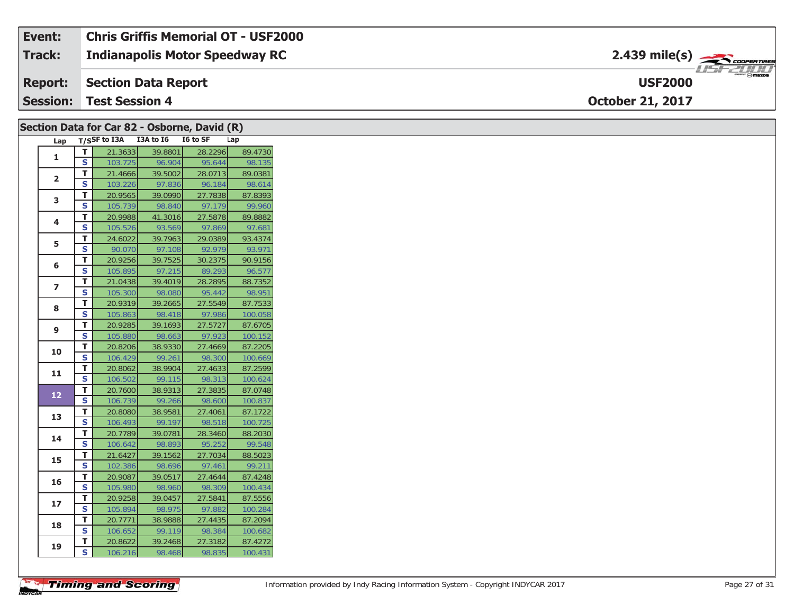#### **Event: Chris Griffis Memorial OT - USF2000**2.439 mile(s) **2.439 miles Indianapolis Motor Speedway RC Track:** 1151-21111 **Section Data Report Report: USF2000Session:October 21, 2017 Test Session 4**

|                |                         | Section Data for Car 82 - Osborne, David (R) |                   |                   |                    |
|----------------|-------------------------|----------------------------------------------|-------------------|-------------------|--------------------|
| Lap            |                         | T/SSF to I3A I3A to I6 I6 to SF              |                   |                   | Lap                |
| $\mathbf{1}$   | $\mathsf T$             | 21.3633                                      | 39.8801           | 28.2296           | 89.4730            |
|                | $\overline{\mathbf{s}}$ | 103.725                                      | 96.904            | 95.644            | 98.135             |
| $\overline{2}$ | T.                      | 21.4666                                      | 39.5002           | 28.0713           | 89.0381            |
|                | S                       | 103.226                                      | 97.836            | 96.184            | 98.614             |
| 3              | T                       | 20.9565                                      | 39.0990           | 27.7838           | 87.8393            |
|                | S                       | 105.739                                      | 98.840            | 97.179            | 99.960             |
| 4              | T.                      | 20.9988                                      | 41.3016           | 27.5878           | 89.8882            |
|                | $\mathbf s$             | 105.526                                      | 93.569            | 97.869            | 97.681             |
| 5              | T.                      | 24.6022                                      | 39.7963           | 29.0389           | 93.4374            |
|                | S                       | 90.070                                       | 97.108            | 92.979            | 93.971             |
| 6              | T                       | 20.9256                                      | 39.7525           | 30.2375           | 90.9156            |
|                | S                       | 105.895                                      | 97.215            | 89.293            | 96.577             |
| $\overline{z}$ | T                       | 21.0438                                      | 39.4019           | 28.2895           | 88.7352            |
|                | S                       | 105.300                                      | 98.080            | 95.442            | 98.951             |
| 8              | T                       | 20.9319                                      | 39.2665           | 27.5549           | 87.7533            |
|                | $\mathbf{s}$            | 105.863                                      | 98.418            | 97.986            | 100.058            |
| 9              | т                       | 20.9285                                      | 39.1693           | 27.5727           | 87.6705            |
|                | S                       | 105.880                                      | 98.663            | 97.923            | 100.152            |
| 10             | т                       | 20.8206                                      | 38.9330           | 27.4669           | 87.2205            |
|                | S                       | 106.429                                      | 99.261            | 98.300            | 100.669            |
| 11             | T<br>S                  | 20.8062<br>106.502                           | 38.9904<br>99.115 | 27.4633<br>98.313 | 87.2599<br>100.624 |
|                | T                       | 20.7600                                      | 38.9313           | 27.3835           | 87.0748            |
| 12             | $\mathbf{s}$            | 106.739                                      | 99.266            | 98.600            | 100.837            |
|                | T                       | 20.8080                                      | 38.9581           | 27.4061           | 87.1722            |
| 13             | S                       | 106.493                                      | 99.197            | 98.518            | 100.725            |
|                | Т                       | 20.7789                                      | 39.0781           | 28.3460           | 88.2030            |
| 14             | $\overline{\mathbf{s}}$ | 106.642                                      | 98.893            | 95.252            | 99.548             |
|                | T.                      | 21.6427                                      | 39.1562           | 27.7034           | 88.5023            |
| 15             | S                       | 102.386                                      | 98.696            | 97.461            | 99.211             |
|                | T                       | 20.9087                                      | 39.0517           | 27.4644           | 87.4248            |
| 16             | S                       | 105.980                                      | 98.960            | 98.309            | 100.434            |
|                | T                       | 20.9258                                      | 39.0457           | 27.5841           | 87.5556            |
| 17             | S                       | 105.894                                      | 98.975            | 97.882            | 100.284            |
|                | T                       | 20.7771                                      | 38.9888           | 27.4435           | 87.2094            |
| 18             | S                       | 106.652                                      | 99.119            | 98.384            | 100.682            |
|                | Т                       | 20.8622                                      | 39.2468           | 27.3182           | 87.4272            |
| 19             | S                       | 106.216                                      | 98.468            | 98.835            | 100.431            |
|                |                         |                                              |                   |                   |                    |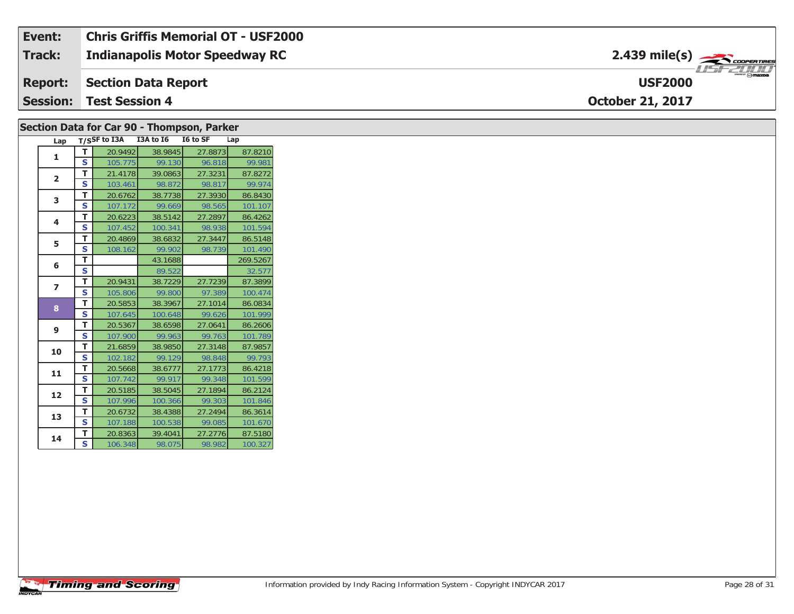| Event:        | <b>Chris Griffis Memorial OT - USF2000</b> |                                                                   |
|---------------|--------------------------------------------|-------------------------------------------------------------------|
| <b>Track:</b> | <b>Indianapolis Motor Speedway RC</b>      | $2.439$ mile(s) $\frac{1}{\sqrt{2.600 \text{ cm} \cdot \text{m}}$ |
|               | <b>Report: Section Data Report</b>         | $\overline{\phantom{a}}$ $\otimes$ mazpa<br><b>USF2000</b>        |
|               | <b>Session: Test Session 4</b>             | <b>October 21, 2017</b>                                           |

| Section Data for Car 90 - Thompson, Parker |                |    |                 |           |          |         |          |  |
|--------------------------------------------|----------------|----|-----------------|-----------|----------|---------|----------|--|
|                                            | Lap            |    | $T/S$ SF to I3A | I3A to I6 | I6 to SF |         | Lap      |  |
|                                            | 1              | T. | 20.9492         | 38.9845   |          | 27.8873 | 87.8210  |  |
|                                            |                | S  | 105.775         | 99.130    |          | 96.818  | 99.981   |  |
|                                            | $\overline{2}$ | T. | 21.4178         | 39.0863   |          | 27.3231 | 87.8272  |  |
|                                            |                | S  | 103.461         | 98.872    |          | 98.817  | 99.974   |  |
|                                            | 3              | T. | 20.6762         | 38.7738   |          | 27.3930 | 86.8430  |  |
|                                            |                | S  | 107.172         | 99.669    |          | 98.565  | 101.107  |  |
|                                            | 4              | т  | 20.6223         | 38.5142   |          | 27.2897 | 86.4262  |  |
|                                            |                | S  | 107.452         | 100.341   |          | 98.938  | 101.594  |  |
|                                            | 5              | T. | 20.4869         | 38.6832   |          | 27.3447 | 86.5148  |  |
|                                            |                | s  | 108.162         | 99.902    |          | 98.739  | 101.490  |  |
|                                            | 6              | т  |                 | 43.1688   |          |         | 269.5267 |  |
|                                            |                | S  |                 | 89.522    |          |         | 32.577   |  |
|                                            | $\overline{ }$ | T. | 20.9431         | 38.7229   |          | 27.7239 | 87.3899  |  |
|                                            |                | S  | 105.806         | 99.800    |          | 97.389  | 100.474  |  |
|                                            | 8              | T. | 20.5853         | 38.3967   |          | 27.1014 | 86.0834  |  |
|                                            |                | S  | 107.645         | 100.648   |          | 99.626  | 101.999  |  |
|                                            | 9              | т  | 20.5367         | 38.6598   |          | 27.0641 | 86.2606  |  |
|                                            |                | S  | 107.900         | 99.963    |          | 99.763  | 101.789  |  |
|                                            | 10             | T. | 21.6859         | 38.9850   |          | 27.3148 | 87.9857  |  |
|                                            |                | S  | 102.182         | 99.129    |          | 98.848  | 99.793   |  |
|                                            | 11             | T. | 20.5668         | 38.6777   |          | 27.1773 | 86.4218  |  |
|                                            |                | S  | 107.742         | 99.917    |          | 99.348  | 101.599  |  |
|                                            | 12             | T. | 20.5185         | 38.5045   |          | 27.1894 | 86.2124  |  |
|                                            |                | S  | 107.996         | 100.366   |          | 99.303  | 101.846  |  |
|                                            | 13             | T. | 20.6732         | 38.4388   |          | 27.2494 | 86.3614  |  |
|                                            |                | S  | 107.188         | 100.538   |          | 99.085  | 101.670  |  |
|                                            | 14             | T. | 20.8363         | 39.4041   |          | 27.2776 | 87.5180  |  |
|                                            |                | S  | 106.348         | 98.075    |          | 98.982  | 100.327  |  |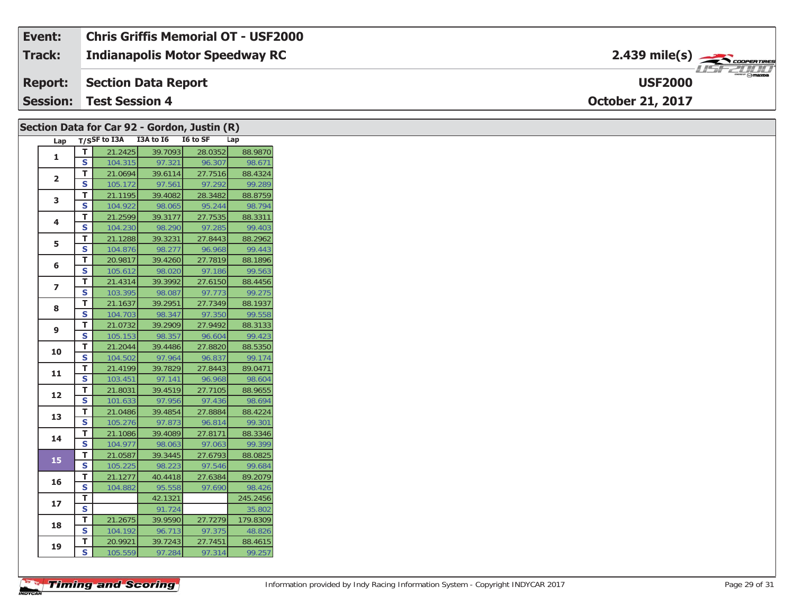#### **Event: Chris Griffis Memorial OT - USF2000**2.439 mile(s) **2.439 miles Indianapolis Motor Speedway RC Track:** 1151-21111 **Section Data Report Report: USF2000Session:October 21, 2017 Test Session 4**

|                | Section Data for Car 92 - Gordon, Justin (R) |         |                                     |         |          |  |  |  |  |
|----------------|----------------------------------------------|---------|-------------------------------------|---------|----------|--|--|--|--|
|                |                                              |         | Lap T/SSF to I3A I3A to I6 I6 to SF |         | Lap      |  |  |  |  |
| $\mathbf{1}$   | T                                            | 21.2425 | 39.7093                             | 28.0352 | 88.9870  |  |  |  |  |
|                | $\mathbf s$                                  | 104.315 | 97.321                              | 96.307  | 98.671   |  |  |  |  |
| $\overline{2}$ | T                                            | 21.0694 | 39.6114                             | 27.7516 | 88.4324  |  |  |  |  |
|                | S                                            | 105.172 | 97.561                              | 97.292  | 99.289   |  |  |  |  |
| 3              | T                                            | 21.1195 | 39.4082                             | 28.3482 | 88.8759  |  |  |  |  |
|                | $\mathbf{s}$                                 | 104.922 | 98.065                              | 95.244  | 98.794   |  |  |  |  |
| 4              | T.                                           | 21.2599 | 39.3177                             | 27.7535 | 88.3311  |  |  |  |  |
|                | S                                            | 104.230 | 98.290                              | 97.285  | 99.403   |  |  |  |  |
| 5              | Т                                            | 21.1288 | 39.3231                             | 27.8443 | 88.2962  |  |  |  |  |
|                | S                                            | 104.876 | 98.277                              | 96.968  | 99.443   |  |  |  |  |
| 6              | T                                            | 20.9817 | 39.4260                             | 27.7819 | 88.1896  |  |  |  |  |
|                | S                                            | 105.612 | 98.020                              | 97.186  | 99.563   |  |  |  |  |
| $\overline{ }$ | T.                                           | 21.4314 | 39.3992                             | 27.6150 | 88.4456  |  |  |  |  |
|                | S                                            | 103.395 | 98.087                              | 97.773  | 99.275   |  |  |  |  |
| 8              | T                                            | 21.1637 | 39.2951                             | 27.7349 | 88.1937  |  |  |  |  |
|                | S                                            | 104.703 | 98.347                              | 97.350  | 99.558   |  |  |  |  |
| 9              | T                                            | 21.0732 | 39.2909                             | 27.9492 | 88.3133  |  |  |  |  |
|                | S                                            | 105.153 | 98.357                              | 96.604  | 99.423   |  |  |  |  |
| 10             | T.                                           | 21.2044 | 39.4486                             | 27.8820 | 88.5350  |  |  |  |  |
|                | $\mathbf{s}$                                 | 104.502 | 97.964                              | 96.837  | 99.174   |  |  |  |  |
| 11             | Т                                            | 21.4199 | 39.7829                             | 27.8443 | 89.0471  |  |  |  |  |
|                | S                                            | 103.451 | 97.141                              | 96.968  | 98.604   |  |  |  |  |
| 12             | T                                            | 21.8031 | 39.4519                             | 27.7105 | 88.9655  |  |  |  |  |
|                | S                                            | 101.633 | 97.956                              | 97.436  | 98.694   |  |  |  |  |
| 13             | T.                                           | 21.0486 | 39.4854                             | 27.8884 | 88.4224  |  |  |  |  |
|                | S                                            | 105.276 | 97.873                              | 96.814  | 99.301   |  |  |  |  |
| 14             | Т                                            | 21.1086 | 39.4089                             | 27.8171 | 88.3346  |  |  |  |  |
|                | $\overline{\mathbf{s}}$                      | 104.977 | 98.063                              | 97.063  | 99.399   |  |  |  |  |
| 15             | T                                            | 21.0587 | 39.3445                             | 27.6793 | 88.0825  |  |  |  |  |
|                | S                                            | 105.225 | 98.223                              | 97.546  | 99.684   |  |  |  |  |
| 16             | T                                            | 21.1277 | 40.4418                             | 27.6384 | 89.2079  |  |  |  |  |
|                | $\mathbf{s}$                                 | 104.882 | 95.558                              | 97.690  | 98.426   |  |  |  |  |
| 17             | т                                            |         | 42.1321                             |         | 245.2456 |  |  |  |  |
|                | S                                            |         | 91.724                              |         | 35.802   |  |  |  |  |
| 18             | T                                            | 21.2675 | 39.9590                             | 27.7279 | 179.8309 |  |  |  |  |
|                | S                                            | 104.192 | 96.713                              | 97.375  | 48.826   |  |  |  |  |
| 19             | T.                                           | 20.9921 | 39.7243                             | 27.7451 | 88.4615  |  |  |  |  |
|                | S                                            | 105.559 | 97.284                              | 97.314  | 99.257   |  |  |  |  |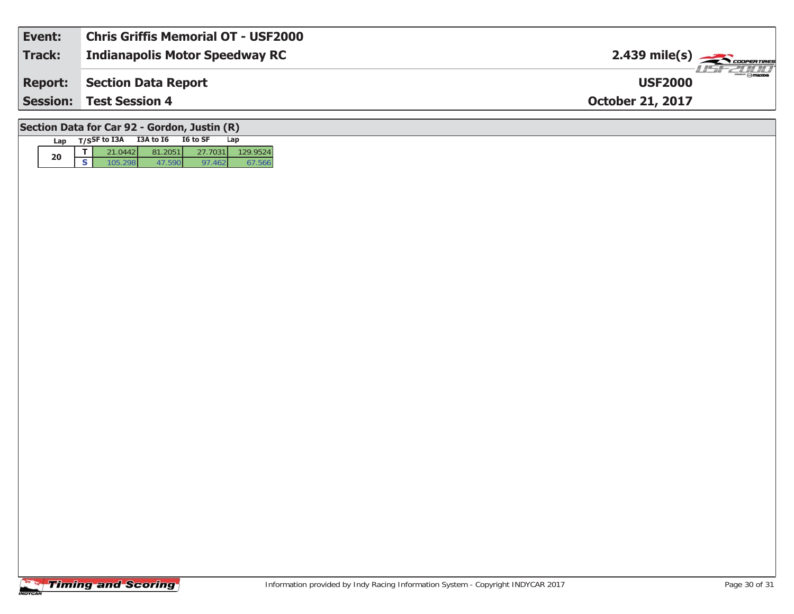| Event:         | <b>Chris Griffis Memorial OT - USF2000</b> |                                                                                                                                                                                                                           |
|----------------|--------------------------------------------|---------------------------------------------------------------------------------------------------------------------------------------------------------------------------------------------------------------------------|
| Track:         | <b>Indianapolis Motor Speedway RC</b>      | $2.439$ mile(s) $\overbrace{\hspace{2cm}}$ <i>coorentines</i>                                                                                                                                                             |
| <b>Report:</b> | Section Data Report                        | $\overline{\phantom{m}}$ $\overline{\phantom{m}}$ $\overline{\phantom{m}}$ $\overline{\phantom{m}}$ $\overline{\phantom{m}}$ $\overline{\phantom{m}}$ $\overline{\phantom{m}}$ $\overline{\phantom{m}}$<br><b>USF2000</b> |
|                | <b>Session: Test Session 4</b>             | <b>October 21, 2017</b>                                                                                                                                                                                                   |
|                |                                            |                                                                                                                                                                                                                           |

### **Section Data for Car 92 - Gordon, Justin (R)**

| Lap | T/SSF to I3A | <b>I3A to 16</b>    | I6 to SF | Lap     |
|-----|--------------|---------------------|----------|---------|
| 20  |              | $-205$ <sup>+</sup> |          | 29.9524 |
|     |              |                     |          |         |